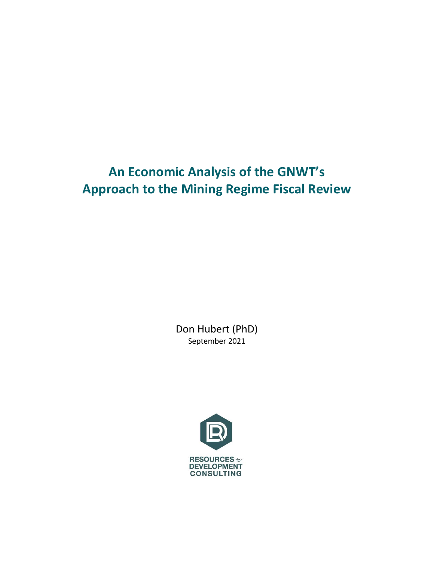# **An Economic Analysis of the GNWT's Approach to the Mining Regime Fiscal Review**

Don Hubert (PhD) September 2021

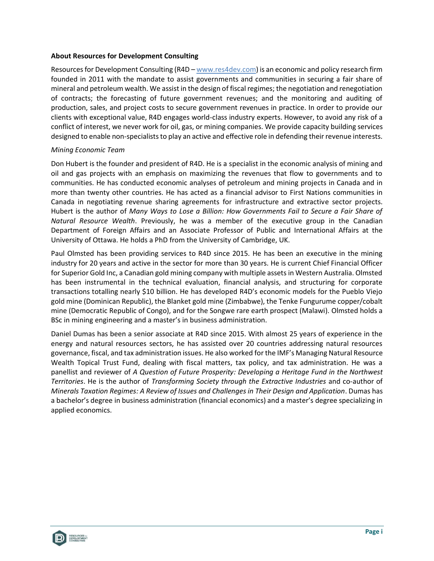#### **About Resources for Development Consulting**

Resources for Development Consulting (R4D – [www.res4dev.com\)](http://www.res4dev.com/) is an economic and policy research firm founded in 2011 with the mandate to assist governments and communities in securing a fair share of mineral and petroleum wealth. We assist in the design of fiscal regimes; the negotiation and renegotiation of contracts; the forecasting of future government revenues; and the monitoring and auditing of production, sales, and project costs to secure government revenues in practice. In order to provide our clients with exceptional value, R4D engages world-class industry experts. However, to avoid any risk of a conflict of interest, we never work for oil, gas, or mining companies. We provide capacity building services designed to enable non-specialists to play an active and effective role in defending their revenue interests.

#### *Mining Economic Team*

Don Hubert is the founder and president of R4D. He is a specialist in the economic analysis of mining and oil and gas projects with an emphasis on maximizing the revenues that flow to governments and to communities. He has conducted economic analyses of petroleum and mining projects in Canada and in more than twenty other countries. He has acted as a financial advisor to First Nations communities in Canada in negotiating revenue sharing agreements for infrastructure and extractive sector projects. Hubert is the author of *Many Ways to Lose a Billion: How Governments Fail to Secure a Fair Share of Natural Resource Wealth*. Previously, he was a member of the executive group in the Canadian Department of Foreign Affairs and an Associate Professor of Public and International Affairs at the University of Ottawa. He holds a PhD from the University of Cambridge, UK.

Paul Olmsted has been providing services to R4D since 2015. He has been an executive in the mining industry for 20 years and active in the sector for more than 30 years. He is current Chief Financial Officer for Superior Gold Inc, a Canadian gold mining company with multiple assets in Western Australia. Olmsted has been instrumental in the technical evaluation, financial analysis, and structuring for corporate transactions totalling nearly \$10 billion. He has developed R4D's economic models for the Pueblo Viejo gold mine (Dominican Republic), the Blanket gold mine (Zimbabwe), the Tenke Fungurume copper/cobalt mine (Democratic Republic of Congo), and for the Songwe rare earth prospect (Malawi). Olmsted holds a BSc in mining engineering and a master's in business administration.

Daniel Dumas has been a senior associate at R4D since 2015. With almost 25 years of experience in the energy and natural resources sectors, he has assisted over 20 countries addressing natural resources governance, fiscal, and tax administration issues. He also worked for the IMF's Managing Natural Resource Wealth Topical Trust Fund, dealing with fiscal matters, tax policy, and tax administration. He was a panellist and reviewer of *A Question of Future Prosperity: Developing a Heritage Fund in the Northwest Territories*. He is the author of *Transforming Society through the Extractive Industries* and co-author of *Minerals Taxation Regimes: A Review of Issues and Challenges in Their Design and Application*. Dumas has a bachelor's degree in business administration (financial economics) and a master's degree specializing in applied economics.

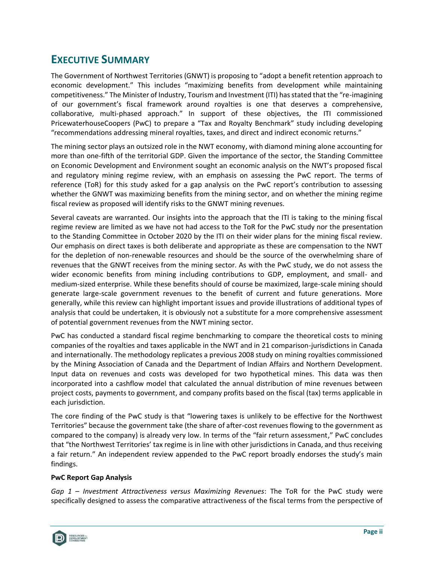# **EXECUTIVE SUMMARY**

The Government of Northwest Territories (GNWT) is proposing to "adopt a benefit retention approach to economic development." This includes "maximizing benefits from development while maintaining competitiveness." The Minister of Industry, Tourism and Investment (ITI) has stated that the "re-imagining of our government's fiscal framework around royalties is one that deserves a comprehensive, collaborative, multi-phased approach." In support of these objectives, the ITI commissioned PricewaterhouseCoopers (PwC) to prepare a "Tax and Royalty Benchmark" study including developing "recommendations addressing mineral royalties, taxes, and direct and indirect economic returns."

The mining sector plays an outsized role in the NWT economy, with diamond mining alone accounting for more than one-fifth of the territorial GDP. Given the importance of the sector, the Standing Committee on Economic Development and Environment sought an economic analysis on the NWT's proposed fiscal and regulatory mining regime review, with an emphasis on assessing the PwC report. The terms of reference (ToR) for this study asked for a gap analysis on the PwC report's contribution to assessing whether the GNWT was maximizing benefits from the mining sector, and on whether the mining regime fiscal review as proposed will identify risks to the GNWT mining revenues.

Several caveats are warranted. Our insights into the approach that the ITI is taking to the mining fiscal regime review are limited as we have not had access to the ToR for the PwC study nor the presentation to the Standing Committee in October 2020 by the ITI on their wider plans for the mining fiscal review. Our emphasis on direct taxes is both deliberate and appropriate as these are compensation to the NWT for the depletion of non-renewable resources and should be the source of the overwhelming share of revenues that the GNWT receives from the mining sector. As with the PwC study, we do not assess the wider economic benefits from mining including contributions to GDP, employment, and small- and medium-sized enterprise. While these benefits should of course be maximized, large-scale mining should generate large-scale government revenues to the benefit of current and future generations. More generally, while this review can highlight important issues and provide illustrations of additional types of analysis that could be undertaken, it is obviously not a substitute for a more comprehensive assessment of potential government revenues from the NWT mining sector.

PwC has conducted a standard fiscal regime benchmarking to compare the theoretical costs to mining companies of the royalties and taxes applicable in the NWT and in 21 comparison-jurisdictions in Canada and internationally. The methodology replicates a previous 2008 study on mining royalties commissioned by the Mining Association of Canada and the Department of Indian Affairs and Northern Development. Input data on revenues and costs was developed for two hypothetical mines. This data was then incorporated into a cashflow model that calculated the annual distribution of mine revenues between project costs, payments to government, and company profits based on the fiscal (tax) terms applicable in each jurisdiction.

The core finding of the PwC study is that "lowering taxes is unlikely to be effective for the Northwest Territories" because the government take (the share of after-cost revenues flowing to the government as compared to the company) is already very low. In terms of the "fair return assessment," PwC concludes that "the Northwest Territories' tax regime is in line with other jurisdictions in Canada, and thus receiving a fair return." An independent review appended to the PwC report broadly endorses the study's main findings.

#### **PwC Report Gap Analysis**

*Gap 1 – Investment Attractiveness versus Maximizing Revenues*: The ToR for the PwC study were specifically designed to assess the comparative attractiveness of the fiscal terms from the perspective of

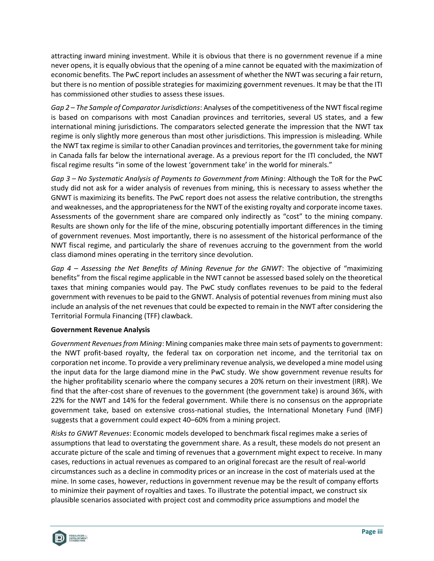attracting inward mining investment. While it is obvious that there is no government revenue if a mine never opens, it is equally obvious that the opening of a mine cannot be equated with the maximization of economic benefits. The PwC report includes an assessment of whether the NWT was securing a fair return, but there is no mention of possible strategies for maximizing government revenues. It may be that the ITI has commissioned other studies to assess these issues.

*Gap 2 – The Sample of Comparator Jurisdictions*: Analyses of the competitiveness of the NWT fiscal regime is based on comparisons with most Canadian provinces and territories, several US states, and a few international mining jurisdictions. The comparators selected generate the impression that the NWT tax regime is only slightly more generous than most other jurisdictions. This impression is misleading. While the NWT tax regime is similar to other Canadian provinces and territories, the government take for mining in Canada falls far below the international average. As a previous report for the ITI concluded, the NWT fiscal regime results "in some of the lowest 'government take' in the world for minerals."

*Gap 3 – No Systematic Analysis of Payments to Government from Mining*: Although the ToR for the PwC study did not ask for a wider analysis of revenues from mining, this is necessary to assess whether the GNWT is maximizing its benefits. The PwC report does not assess the relative contribution, the strengths and weaknesses, and the appropriateness for the NWT of the existing royalty and corporate income taxes. Assessments of the government share are compared only indirectly as "cost" to the mining company. Results are shown only for the life of the mine, obscuring potentially important differences in the timing of government revenues. Most importantly, there is no assessment of the historical performance of the NWT fiscal regime, and particularly the share of revenues accruing to the government from the world class diamond mines operating in the territory since devolution.

*Gap 4 – Assessing the Net Benefits of Mining Revenue for the GNWT*: The objective of "maximizing benefits" from the fiscal regime applicable in the NWT cannot be assessed based solely on the theoretical taxes that mining companies would pay. The PwC study conflates revenues to be paid to the federal government with revenues to be paid to the GNWT. Analysis of potential revenues from mining must also include an analysis of the net revenues that could be expected to remain in the NWT after considering the Territorial Formula Financing (TFF) clawback.

#### **Government Revenue Analysis**

*Government Revenues from Mining*: Mining companies make three main sets of payments to government: the NWT profit-based royalty, the federal tax on corporation net income, and the territorial tax on corporation net income. To provide a very preliminary revenue analysis, we developed a mine model using the input data for the large diamond mine in the PwC study. We show government revenue results for the higher profitability scenario where the company secures a 20% return on their investment (IRR). We find that the after-cost share of revenues to the government (the government take) is around 36%, with 22% for the NWT and 14% for the federal government. While there is no consensus on the appropriate government take, based on extensive cross-national studies, the International Monetary Fund (IMF) suggests that a government could expect 40–60% from a mining project.

*Risks to GNWT Revenues*: Economic models developed to benchmark fiscal regimes make a series of assumptions that lead to overstating the government share. As a result, these models do not present an accurate picture of the scale and timing of revenues that a government might expect to receive. In many cases, reductions in actual revenues as compared to an original forecast are the result of real-world circumstances such as a decline in commodity prices or an increase in the cost of materials used at the mine. In some cases, however, reductions in government revenue may be the result of company efforts to minimize their payment of royalties and taxes. To illustrate the potential impact, we construct six plausible scenarios associated with project cost and commodity price assumptions and model the

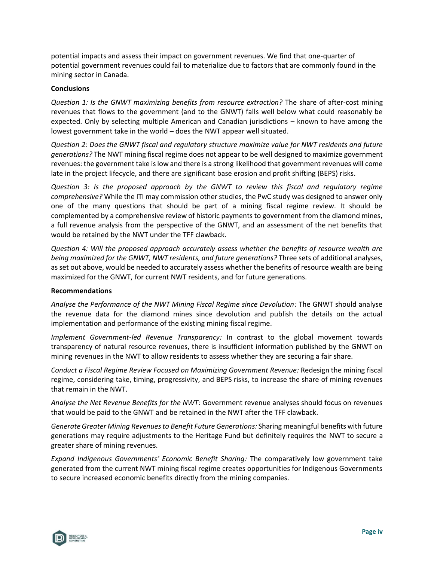potential impacts and assess their impact on government revenues. We find that one-quarter of potential government revenues could fail to materialize due to factors that are commonly found in the mining sector in Canada.

#### **Conclusions**

*Question 1: Is the GNWT maximizing benefits from resource extraction?* The share of after-cost mining revenues that flows to the government (and to the GNWT) falls well below what could reasonably be expected. Only by selecting multiple American and Canadian jurisdictions – known to have among the lowest government take in the world – does the NWT appear well situated.

*Question 2: Does the GNWT fiscal and regulatory structure maximize value for NWT residents and future generations?* The NWT mining fiscal regime does not appear to be well designed to maximize government revenues: the government take is low and there is a strong likelihood that government revenues will come late in the project lifecycle, and there are significant base erosion and profit shifting (BEPS) risks.

*Question 3: Is the proposed approach by the GNWT to review this fiscal and regulatory regime comprehensive?* While the ITI may commission other studies, the PwC study was designed to answer only one of the many questions that should be part of a mining fiscal regime review. It should be complemented by a comprehensive review of historic payments to government from the diamond mines, a full revenue analysis from the perspective of the GNWT, and an assessment of the net benefits that would be retained by the NWT under the TFF clawback.

*Question 4: Will the proposed approach accurately assess whether the benefits of resource wealth are being maximized for the GNWT, NWT residents, and future generations?* Three sets of additional analyses, as set out above, would be needed to accurately assess whether the benefits of resource wealth are being maximized for the GNWT, for current NWT residents, and for future generations.

#### **Recommendations**

*Analyse the Performance of the NWT Mining Fiscal Regime since Devolution:* The GNWT should analyse the revenue data for the diamond mines since devolution and publish the details on the actual implementation and performance of the existing mining fiscal regime.

*Implement Government-led Revenue Transparency:* In contrast to the global movement towards transparency of natural resource revenues, there is insufficient information published by the GNWT on mining revenues in the NWT to allow residents to assess whether they are securing a fair share.

*Conduct a Fiscal Regime Review Focused on Maximizing Government Revenue:* Redesign the mining fiscal regime, considering take, timing, progressivity, and BEPS risks, to increase the share of mining revenues that remain in the NWT.

*Analyse the Net Revenue Benefits for the NWT:* Government revenue analyses should focus on revenues that would be paid to the GNWT and be retained in the NWT after the TFF clawback.

*Generate Greater Mining Revenues to Benefit Future Generations:* Sharing meaningful benefits with future generations may require adjustments to the Heritage Fund but definitely requires the NWT to secure a greater share of mining revenues.

*Expand Indigenous Governments' Economic Benefit Sharing:* The comparatively low government take generated from the current NWT mining fiscal regime creates opportunities for Indigenous Governments to secure increased economic benefits directly from the mining companies.

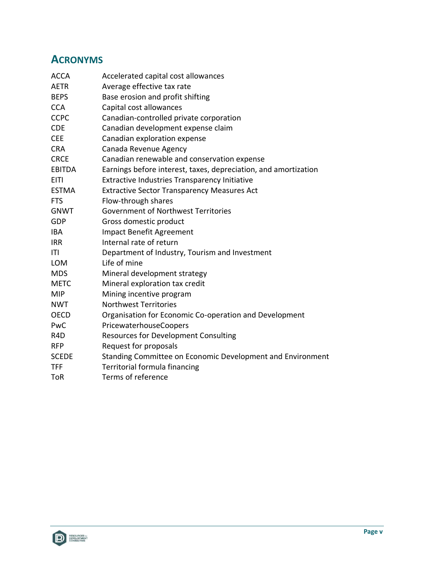# **ACRONYMS**

| <b>ACCA</b>      | Accelerated capital cost allowances                             |  |  |
|------------------|-----------------------------------------------------------------|--|--|
| <b>AETR</b>      | Average effective tax rate                                      |  |  |
| <b>BEPS</b>      | Base erosion and profit shifting                                |  |  |
| <b>CCA</b>       | Capital cost allowances                                         |  |  |
| <b>CCPC</b>      | Canadian-controlled private corporation                         |  |  |
| <b>CDE</b>       | Canadian development expense claim                              |  |  |
| <b>CEE</b>       | Canadian exploration expense                                    |  |  |
| <b>CRA</b>       | Canada Revenue Agency                                           |  |  |
| <b>CRCE</b>      | Canadian renewable and conservation expense                     |  |  |
| <b>EBITDA</b>    | Earnings before interest, taxes, depreciation, and amortization |  |  |
| <b>EITI</b>      | Extractive Industries Transparency Initiative                   |  |  |
| <b>ESTMA</b>     | <b>Extractive Sector Transparency Measures Act</b>              |  |  |
| <b>FTS</b>       | Flow-through shares                                             |  |  |
| <b>GNWT</b>      | Government of Northwest Territories                             |  |  |
| GDP              | Gross domestic product                                          |  |  |
| <b>IBA</b>       | <b>Impact Benefit Agreement</b>                                 |  |  |
| <b>IRR</b>       | Internal rate of return                                         |  |  |
| ITI              | Department of Industry, Tourism and Investment                  |  |  |
| <b>LOM</b>       | Life of mine                                                    |  |  |
| <b>MDS</b>       | Mineral development strategy                                    |  |  |
| <b>METC</b>      | Mineral exploration tax credit                                  |  |  |
| <b>MIP</b>       | Mining incentive program                                        |  |  |
| <b>NWT</b>       | <b>Northwest Territories</b>                                    |  |  |
| <b>OECD</b>      | Organisation for Economic Co-operation and Development          |  |  |
| PwC              | PricewaterhouseCoopers                                          |  |  |
| R <sub>4</sub> D | <b>Resources for Development Consulting</b>                     |  |  |
| <b>RFP</b>       | Request for proposals                                           |  |  |
| <b>SCEDE</b>     | Standing Committee on Economic Development and Environment      |  |  |
| <b>TFF</b>       | Territorial formula financing                                   |  |  |
| ToR              | Terms of reference                                              |  |  |

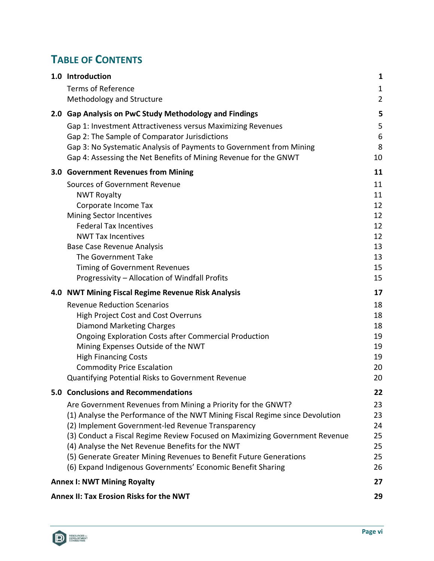# **TABLE OF CONTENTS**

| 1.0 Introduction                                                             | 1              |
|------------------------------------------------------------------------------|----------------|
| <b>Terms of Reference</b>                                                    | $\mathbf{1}$   |
| Methodology and Structure                                                    | $\overline{2}$ |
| 2.0 Gap Analysis on PwC Study Methodology and Findings                       | 5              |
| Gap 1: Investment Attractiveness versus Maximizing Revenues                  | 5              |
| Gap 2: The Sample of Comparator Jurisdictions                                | 6              |
| Gap 3: No Systematic Analysis of Payments to Government from Mining          | 8              |
| Gap 4: Assessing the Net Benefits of Mining Revenue for the GNWT             | 10             |
| 3.0 Government Revenues from Mining                                          | 11             |
| Sources of Government Revenue                                                | 11             |
| <b>NWT Royalty</b>                                                           | 11             |
| Corporate Income Tax                                                         | 12             |
| Mining Sector Incentives                                                     | 12             |
| <b>Federal Tax Incentives</b>                                                | 12             |
| <b>NWT Tax Incentives</b>                                                    | 12             |
| <b>Base Case Revenue Analysis</b>                                            | 13             |
| The Government Take                                                          | 13             |
| <b>Timing of Government Revenues</b>                                         | 15             |
| Progressivity - Allocation of Windfall Profits                               | 15             |
| 4.0 NWT Mining Fiscal Regime Revenue Risk Analysis                           | 17             |
| <b>Revenue Reduction Scenarios</b>                                           | 18             |
| <b>High Project Cost and Cost Overruns</b>                                   | 18             |
| <b>Diamond Marketing Charges</b>                                             | 18             |
| <b>Ongoing Exploration Costs after Commercial Production</b>                 | 19             |
| Mining Expenses Outside of the NWT                                           | 19             |
| <b>High Financing Costs</b>                                                  | 19             |
| <b>Commodity Price Escalation</b>                                            | 20             |
| Quantifying Potential Risks to Government Revenue                            | 20             |
| 5.0 Conclusions and Recommendations                                          | 22             |
| Are Government Revenues from Mining a Priority for the GNWT?                 | 23             |
| (1) Analyse the Performance of the NWT Mining Fiscal Regime since Devolution | 23             |
| (2) Implement Government-led Revenue Transparency                            | 24             |
| (3) Conduct a Fiscal Regime Review Focused on Maximizing Government Revenue  | 25             |
| (4) Analyse the Net Revenue Benefits for the NWT                             | 25             |
| (5) Generate Greater Mining Revenues to Benefit Future Generations           | 25             |
| (6) Expand Indigenous Governments' Economic Benefit Sharing                  | 26             |
| <b>Annex I: NWT Mining Royalty</b>                                           | 27             |
| Annex II: Tax Erosion Risks for the NWT                                      | 29             |

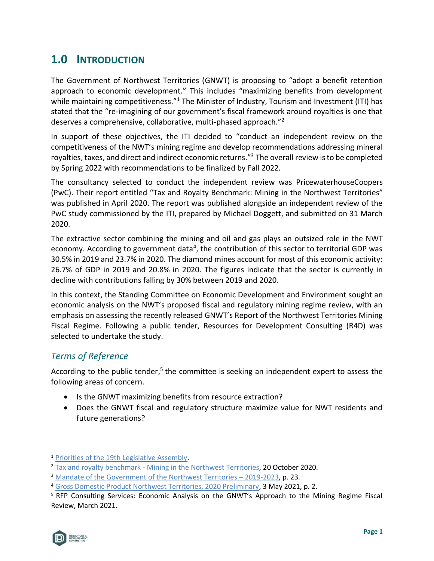# <span id="page-7-0"></span>**1.0 INTRODUCTION**

The Government of Northwest Territories (GNWT) is proposing to "adopt a benefit retention approach to economic development." This includes "maximizing benefits from development while maintaining competitiveness."<sup>1</sup> The Minister of Industry, Tourism and Investment (ITI) has stated that the "re-imagining of our government's fiscal framework around royalties is one that deserves a comprehensive, collaborative, multi-phased approach."<sup>2</sup>

In support of these objectives, the ITI decided to "conduct an independent review on the competitiveness of the NWT's mining regime and develop recommendations addressing mineral royalties, taxes, and direct and indirect economic returns."<sup>3</sup> The overall review is to be completed by Spring 2022 with recommendations to be finalized by Fall 2022.

The consultancy selected to conduct the independent review was PricewaterhouseCoopers (PwC). Their report entitled "Tax and Royalty Benchmark: Mining in the Northwest Territories" was published in April 2020. The report was published alongside an independent review of the PwC study commissioned by the ITI, prepared by Michael Doggett, and submitted on 31 March 2020.

The extractive sector combining the mining and oil and gas plays an outsized role in the NWT economy. According to government data<sup>4</sup>, the contribution of this sector to territorial GDP was 30.5% in 2019 and 23.7% in 2020. The diamond mines account for most of this economic activity: 26.7% of GDP in 2019 and 20.8% in 2020. The figures indicate that the sector is currently in decline with contributions falling by 30% between 2019 and 2020.

In this context, the Standing Committee on Economic Development and Environment sought an economic analysis on the NWT's proposed fiscal and regulatory mining regime review, with an emphasis on assessing the recently released GNWT's Report of the Northwest Territories Mining Fiscal Regime. Following a public tender, Resources for Development Consulting (R4D) was selected to undertake the study.

## <span id="page-7-1"></span>*Terms of Reference*

According to the public tender,<sup>5</sup> the committee is seeking an independent expert to assess the following areas of concern.

- Is the GNWT maximizing benefits from resource extraction?
- Does the GNWT fiscal and regulatory structure maximize value for NWT residents and future generations?

<sup>5</sup> RFP Consulting Services: Economic Analysis on the GNWT's Approach to the Mining Regime Fiscal Review, March 2021.



<sup>1</sup> [Priorities of the 19th Legislative Assembly.](https://www.ntassembly.ca/sites/assembly/files/td_1-191.pdf)

<sup>2</sup> Tax and royalty benchmark - [Mining in the Northwest Territories,](https://www.gov.nt.ca/en/newsroom/tax-and-royalty-benchmark-mining-northwest-territories) 20 October 2020.

<sup>&</sup>lt;sup>3</sup> [Mandate of the Government of the Northwest Territories](https://www.ntassembly.ca/sites/assembly/files/td_12-192.pdf) - 2019-2023, p. 23.

<sup>4</sup> [Gross Domestic Product Northwest Territories, 2020 Preliminary,](https://www.statsnwt.ca/economy/gdp/May2021_GDP.pdf) 3 May 2021, p. 2.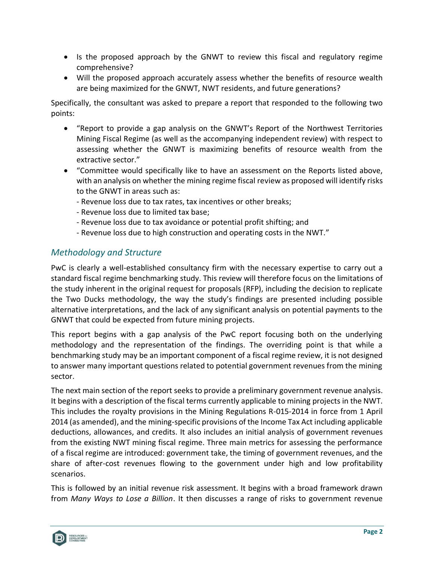- Is the proposed approach by the GNWT to review this fiscal and regulatory regime comprehensive?
- Will the proposed approach accurately assess whether the benefits of resource wealth are being maximized for the GNWT, NWT residents, and future generations?

Specifically, the consultant was asked to prepare a report that responded to the following two points:

- "Report to provide a gap analysis on the GNWT's Report of the Northwest Territories Mining Fiscal Regime (as well as the accompanying independent review) with respect to assessing whether the GNWT is maximizing benefits of resource wealth from the extractive sector."
- "Committee would specifically like to have an assessment on the Reports listed above, with an analysis on whether the mining regime fiscal review as proposed will identify risks to the GNWT in areas such as:
	- Revenue loss due to tax rates, tax incentives or other breaks;
	- Revenue loss due to limited tax base;
	- Revenue loss due to tax avoidance or potential profit shifting; and
	- Revenue loss due to high construction and operating costs in the NWT."

## <span id="page-8-0"></span>*Methodology and Structure*

PwC is clearly a well-established consultancy firm with the necessary expertise to carry out a standard fiscal regime benchmarking study. This review will therefore focus on the limitations of the study inherent in the original request for proposals (RFP), including the decision to replicate the Two Ducks methodology, the way the study's findings are presented including possible alternative interpretations, and the lack of any significant analysis on potential payments to the GNWT that could be expected from future mining projects.

This report begins with a gap analysis of the PwC report focusing both on the underlying methodology and the representation of the findings. The overriding point is that while a benchmarking study may be an important component of a fiscal regime review, it is not designed to answer many important questions related to potential government revenues from the mining sector.

The next main section of the report seeks to provide a preliminary government revenue analysis. It begins with a description of the fiscal terms currently applicable to mining projects in the NWT. This includes the royalty provisions in the Mining Regulations R-015-2014 in force from 1 April 2014 (as amended), and the mining-specific provisions of the Income Tax Act including applicable deductions, allowances, and credits. It also includes an initial analysis of government revenues from the existing NWT mining fiscal regime. Three main metrics for assessing the performance of a fiscal regime are introduced: government take, the timing of government revenues, and the share of after-cost revenues flowing to the government under high and low profitability scenarios.

This is followed by an initial revenue risk assessment. It begins with a broad framework drawn from *Many Ways to Lose a Billion*. It then discusses a range of risks to government revenue

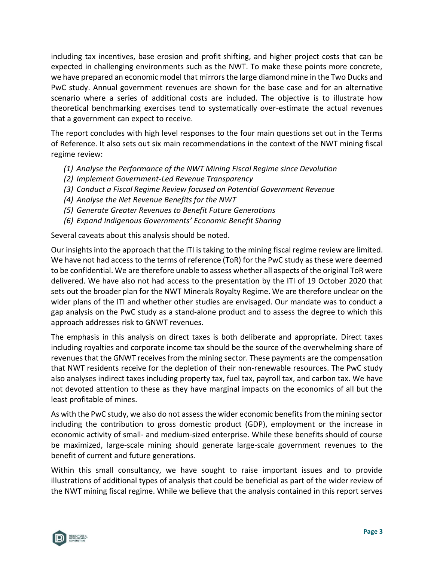including tax incentives, base erosion and profit shifting, and higher project costs that can be expected in challenging environments such as the NWT. To make these points more concrete, we have prepared an economic model that mirrors the large diamond mine in the Two Ducks and PwC study. Annual government revenues are shown for the base case and for an alternative scenario where a series of additional costs are included. The objective is to illustrate how theoretical benchmarking exercises tend to systematically over-estimate the actual revenues that a government can expect to receive.

The report concludes with high level responses to the four main questions set out in the Terms of Reference. It also sets out six main recommendations in the context of the NWT mining fiscal regime review:

- *(1) Analyse the Performance of the NWT Mining Fiscal Regime since Devolution*
- *(2) Implement Government-Led Revenue Transparency*
- *(3) Conduct a Fiscal Regime Review focused on Potential Government Revenue*
- *(4) Analyse the Net Revenue Benefits for the NWT*
- *(5) Generate Greater Revenues to Benefit Future Generations*
- *(6) Expand Indigenous Governments' Economic Benefit Sharing*

Several caveats about this analysis should be noted.

Our insights into the approach that the ITI is taking to the mining fiscal regime review are limited. We have not had access to the terms of reference (ToR) for the PwC study as these were deemed to be confidential. We are therefore unable to assess whether all aspects of the original ToR were delivered. We have also not had access to the presentation by the ITI of 19 October 2020 that sets out the broader plan for the NWT Minerals Royalty Regime. We are therefore unclear on the wider plans of the ITI and whether other studies are envisaged. Our mandate was to conduct a gap analysis on the PwC study as a stand-alone product and to assess the degree to which this approach addresses risk to GNWT revenues.

The emphasis in this analysis on direct taxes is both deliberate and appropriate. Direct taxes including royalties and corporate income tax should be the source of the overwhelming share of revenues that the GNWT receives from the mining sector. These payments are the compensation that NWT residents receive for the depletion of their non-renewable resources. The PwC study also analyses indirect taxes including property tax, fuel tax, payroll tax, and carbon tax. We have not devoted attention to these as they have marginal impacts on the economics of all but the least profitable of mines.

As with the PwC study, we also do not assess the wider economic benefits from the mining sector including the contribution to gross domestic product (GDP), employment or the increase in economic activity of small- and medium-sized enterprise. While these benefits should of course be maximized, large-scale mining should generate large-scale government revenues to the benefit of current and future generations.

Within this small consultancy, we have sought to raise important issues and to provide illustrations of additional types of analysis that could be beneficial as part of the wider review of the NWT mining fiscal regime. While we believe that the analysis contained in this report serves

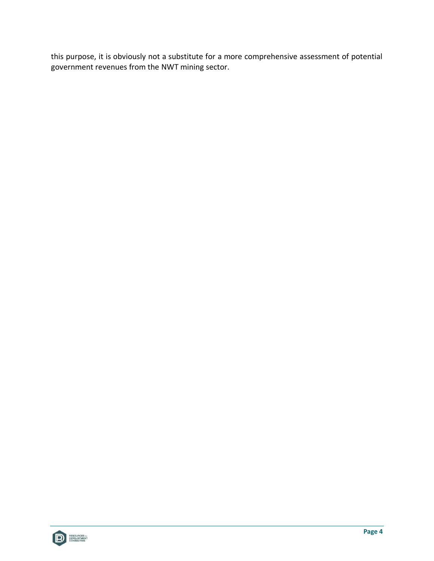this purpose, it is obviously not a substitute for a more comprehensive assessment of potential government revenues from the NWT mining sector.

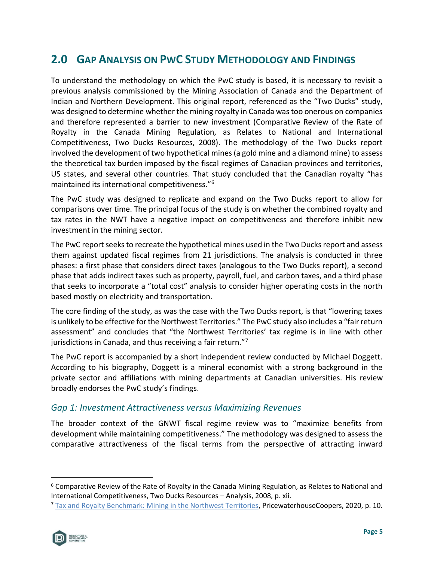# <span id="page-11-0"></span>**2.0 GAP ANALYSIS ON PWC STUDY METHODOLOGY AND FINDINGS**

To understand the methodology on which the PwC study is based, it is necessary to revisit a previous analysis commissioned by the Mining Association of Canada and the Department of Indian and Northern Development. This original report, referenced as the "Two Ducks" study, was designed to determine whether the mining royalty in Canada was too onerous on companies and therefore represented a barrier to new investment (Comparative Review of the Rate of Royalty in the Canada Mining Regulation, as Relates to National and International Competitiveness, Two Ducks Resources, 2008). The methodology of the Two Ducks report involved the development of two hypothetical mines (a gold mine and a diamond mine) to assess the theoretical tax burden imposed by the fiscal regimes of Canadian provinces and territories, US states, and several other countries. That study concluded that the Canadian royalty "has maintained its international competitiveness."<sup>6</sup>

The PwC study was designed to replicate and expand on the Two Ducks report to allow for comparisons over time. The principal focus of the study is on whether the combined royalty and tax rates in the NWT have a negative impact on competitiveness and therefore inhibit new investment in the mining sector.

The PwC report seeks to recreate the hypothetical mines used in the Two Ducks report and assess them against updated fiscal regimes from 21 jurisdictions. The analysis is conducted in three phases: a first phase that considers direct taxes (analogous to the Two Ducks report), a second phase that adds indirect taxes such as property, payroll, fuel, and carbon taxes, and a third phase that seeks to incorporate a "total cost" analysis to consider higher operating costs in the north based mostly on electricity and transportation.

The core finding of the study, as was the case with the Two Ducks report, is that "lowering taxes is unlikely to be effective for the Northwest Territories." The PwC study also includes a "fair return assessment" and concludes that "the Northwest Territories' tax regime is in line with other jurisdictions in Canada, and thus receiving a fair return."<sup>7</sup>

The PwC report is accompanied by a short independent review conducted by Michael Doggett. According to his biography, Doggett is a mineral economist with a strong background in the private sector and affiliations with mining departments at Canadian universities. His review broadly endorses the PwC study's findings.

### <span id="page-11-1"></span>*Gap 1: Investment Attractiveness versus Maximizing Revenues*

The broader context of the GNWT fiscal regime review was to "maximize benefits from development while maintaining competitiveness." The methodology was designed to assess the comparative attractiveness of the fiscal terms from the perspective of attracting inward

<sup>7</sup> [Tax and Royalty Benchmark: Mining in the Northwest Territories,](https://www.iti.gov.nt.ca/en/files/tax-and-royalty-benchmark-mining-nwtpdf) PricewaterhouseCoopers, 2020, p. 10.



<sup>6</sup> Comparative Review of the Rate of Royalty in the Canada Mining Regulation, as Relates to National and International Competitiveness, Two Ducks Resources – Analysis, 2008, p. xii.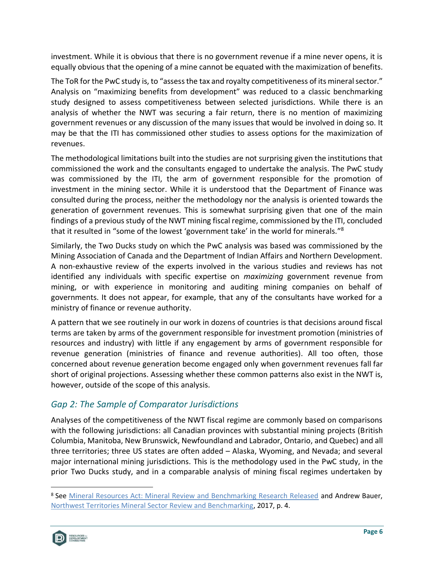investment. While it is obvious that there is no government revenue if a mine never opens, it is equally obvious that the opening of a mine cannot be equated with the maximization of benefits.

The ToR for the PwC study is, to "assess the tax and royalty competitiveness of its mineral sector." Analysis on "maximizing benefits from development" was reduced to a classic benchmarking study designed to assess competitiveness between selected jurisdictions. While there is an analysis of whether the NWT was securing a fair return, there is no mention of maximizing government revenues or any discussion of the many issues that would be involved in doing so. It may be that the ITI has commissioned other studies to assess options for the maximization of revenues.

The methodological limitations built into the studies are not surprising given the institutions that commissioned the work and the consultants engaged to undertake the analysis. The PwC study was commissioned by the ITI, the arm of government responsible for the promotion of investment in the mining sector. While it is understood that the Department of Finance was consulted during the process, neither the methodology nor the analysis is oriented towards the generation of government revenues. This is somewhat surprising given that one of the main findings of a previous study of the NWT mining fiscal regime, commissioned by the ITI, concluded that it resulted in "some of the lowest 'government take' in the world for minerals."<sup>8</sup>

Similarly, the Two Ducks study on which the PwC analysis was based was commissioned by the Mining Association of Canada and the Department of Indian Affairs and Northern Development. A non-exhaustive review of the experts involved in the various studies and reviews has not identified any individuals with specific expertise on *maximizing* government revenue from mining, or with experience in monitoring and auditing mining companies on behalf of governments. It does not appear, for example, that any of the consultants have worked for a ministry of finance or revenue authority.

A pattern that we see routinely in our work in dozens of countries is that decisions around fiscal terms are taken by arms of the government responsible for investment promotion (ministries of resources and industry) with little if any engagement by arms of government responsible for revenue generation (ministries of finance and revenue authorities). All too often, those concerned about revenue generation become engaged only when government revenues fall far short of original projections. Assessing whether these common patterns also exist in the NWT is, however, outside of the scope of this analysis.

# <span id="page-12-0"></span>*Gap 2: The Sample of Comparator Jurisdictions*

Analyses of the competitiveness of the NWT fiscal regime are commonly based on comparisons with the following jurisdictions: all Canadian provinces with substantial mining projects (British Columbia, Manitoba, New Brunswick, Newfoundland and Labrador, Ontario, and Quebec) and all three territories; three US states are often added – Alaska, Wyoming, and Nevada; and several major international mining jurisdictions. This is the methodology used in the PwC study, in the prior Two Ducks study, and in a comparable analysis of mining fiscal regimes undertaken by

<sup>&</sup>lt;sup>8</sup> See [Mineral Resources Act: Mineral Review and Benchmarking Research Released](https://www.iti.gov.nt.ca/en/newsroom/mineral-resources-act-mineral-review-and-benchmarking-research-released) and Andrew Bauer, [Northwest Territories Mineral Sector Review and Benchmarking,](https://www.engage-iti.ca/3808/widgets/15654/documents/7981) 2017, p. 4.

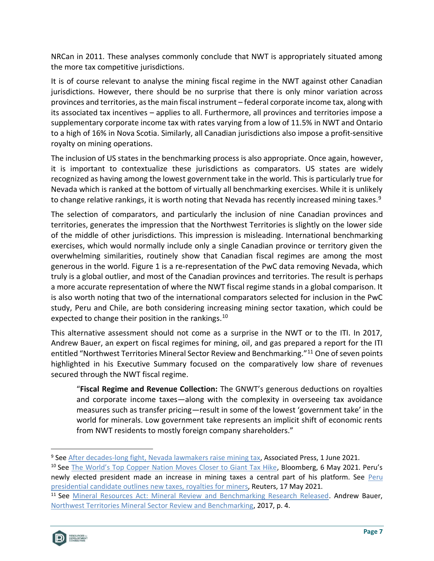NRCan in 2011. These analyses commonly conclude that NWT is appropriately situated among the more tax competitive jurisdictions.

It is of course relevant to analyse the mining fiscal regime in the NWT against other Canadian jurisdictions. However, there should be no surprise that there is only minor variation across provinces and territories, as the main fiscal instrument – federal corporate income tax, along with its associated tax incentives – applies to all. Furthermore, all provinces and territories impose a supplementary corporate income tax with rates varying from a low of 11.5% in NWT and Ontario to a high of 16% in Nova Scotia. Similarly, all Canadian jurisdictions also impose a profit-sensitive royalty on mining operations.

The inclusion of US states in the benchmarking process is also appropriate. Once again, however, it is important to contextualize these jurisdictions as comparators. US states are widely recognized as having among the lowest government take in the world. This is particularly true for Nevada which is ranked at the bottom of virtually all benchmarking exercises. While it is unlikely to change relative rankings, it is worth noting that Nevada has recently increased mining taxes.<sup>9</sup>

The selection of comparators, and particularly the inclusion of nine Canadian provinces and territories, generates the impression that the Northwest Territories is slightly on the lower side of the middle of other jurisdictions. This impression is misleading. International benchmarking exercises, which would normally include only a single Canadian province or territory given the overwhelming similarities, routinely show that Canadian fiscal regimes are among the most generous in the world. [Figure 1](#page-14-1) is a re-representation of the PwC data removing Nevada, which truly is a global outlier, and most of the Canadian provinces and territories. The result is perhaps a more accurate representation of where the NWT fiscal regime stands in a global comparison. It is also worth noting that two of the international comparators selected for inclusion in the PwC study, Peru and Chile, are both considering increasing mining sector taxation, which could be expected to change their position in the rankings.<sup>10</sup>

This alternative assessment should not come as a surprise in the NWT or to the ITI. In 2017, Andrew Bauer, an expert on fiscal regimes for mining, oil, and gas prepared a report for the ITI entitled "Northwest Territories Mineral Sector Review and Benchmarking."<sup>11</sup> One of seven points highlighted in his Executive Summary focused on the comparatively low share of revenues secured through the NWT fiscal regime.

"**Fiscal Regime and Revenue Collection:** The GNWT's generous deductions on royalties and corporate income taxes—along with the complexity in overseeing tax avoidance measures such as transfer pricing—result in some of the lowest 'government take' in the world for minerals. Low government take represents an implicit shift of economic rents from NWT residents to mostly foreign company shareholders."

<sup>&</sup>lt;sup>11</sup> See [Mineral Resources Act: Mineral Review and Benchmarking Research Released.](https://www.iti.gov.nt.ca/en/newsroom/mineral-resources-act-mineral-review-and-benchmarking-research-released) Andrew Bauer, [Northwest Territories Mineral Sector Review and Benchmarking,](https://www.engage-iti.ca/3808/widgets/15654/documents/7981) 2017, p. 4.



<sup>9</sup> See [After decades-long fight, Nevada lawmakers raise mining tax,](https://apnews.com/article/nv-state-wire-nevada-environment-and-nature-government-and-politics-business-b811b74b8ead8f28f1764c5656d06f28) Associated Press, 1 June 2021.

<sup>&</sup>lt;sup>10</sup> See [The World's Top Copper Nation Moves Closer to Giant Tax Hike,](https://www.bloomberg.com/news/articles/2021-05-06/in-top-copper-nation-chile-a-giant-tax-hike-moves-a-step-closer) Bloomberg, 6 May 2021. Peru's newly elected president made an increase in mining taxes a central part of his platform. See Peru [presidential candidate outlines new taxes, royalties for miners,](https://www.reuters.com/world/americas/peru-presidential-candidate-outlines-new-taxes-royalties-miners-2021-05-17/) Reuters, 17 May 2021.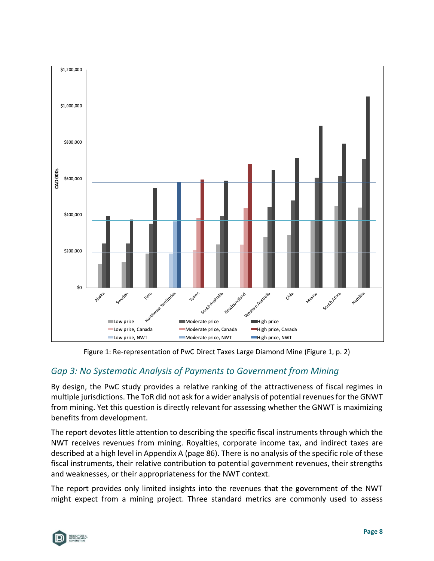

Figure 1: Re-representation of PwC Direct Taxes Large Diamond Mine (Figure 1, p. 2)

## <span id="page-14-1"></span><span id="page-14-0"></span>*Gap 3: No Systematic Analysis of Payments to Government from Mining*

By design, the PwC study provides a relative ranking of the attractiveness of fiscal regimes in multiple jurisdictions. The ToR did not ask for a wider analysis of potential revenues for the GNWT from mining. Yet this question is directly relevant for assessing whether the GNWT is maximizing benefits from development.

The report devotes little attention to describing the specific fiscal instruments through which the NWT receives revenues from mining. Royalties, corporate income tax, and indirect taxes are described at a high level in Appendix A (page 86). There is no analysis of the specific role of these fiscal instruments, their relative contribution to potential government revenues, their strengths and weaknesses, or their appropriateness for the NWT context.

The report provides only limited insights into the revenues that the government of the NWT might expect from a mining project. Three standard metrics are commonly used to assess

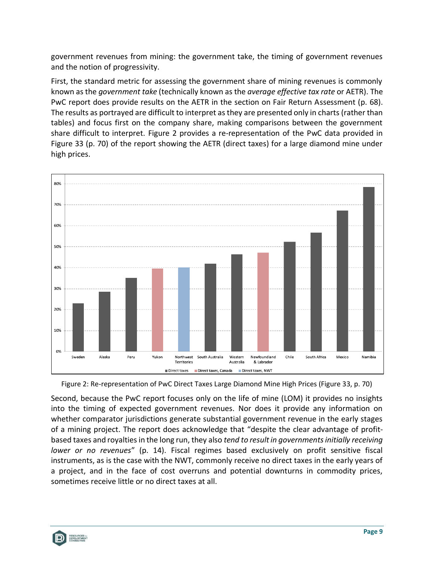government revenues from mining: the government take, the timing of government revenues and the notion of progressivity.

First, the standard metric for assessing the government share of mining revenues is commonly known as the *government take* (technically known as the *average effective tax rate* or AETR). The PwC report does provide results on the AETR in the section on Fair Return Assessment (p. 68). The results as portrayed are difficult to interpret as they are presented only in charts (rather than tables) and focus first on the company share, making comparisons between the government share difficult to interpret. [Figure 2](#page-15-0) provides a re-representation of the PwC data provided in Figure 33 (p. 70) of the report showing the AETR (direct taxes) for a large diamond mine under high prices.



<span id="page-15-0"></span>

Second, because the PwC report focuses only on the life of mine (LOM) it provides no insights into the timing of expected government revenues. Nor does it provide any information on whether comparator jurisdictions generate substantial government revenue in the early stages of a mining project. The report does acknowledge that "despite the clear advantage of profitbased taxes and royalties in the long run, they also *tend to result in governments initially receiving lower or no revenues*" (p. 14). Fiscal regimes based exclusively on profit sensitive fiscal instruments, as is the case with the NWT, commonly receive no direct taxes in the early years of a project, and in the face of cost overruns and potential downturns in commodity prices, sometimes receive little or no direct taxes at all.

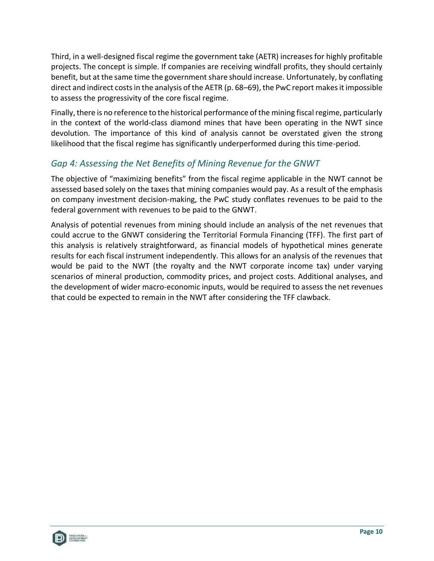Third, in a well-designed fiscal regime the government take (AETR) increases for highly profitable projects. The concept is simple. If companies are receiving windfall profits, they should certainly benefit, but at the same time the government share should increase. Unfortunately, by conflating direct and indirect costs in the analysis of the AETR (p. 68–69), the PwC report makes it impossible to assess the progressivity of the core fiscal regime.

Finally, there is no reference to the historical performance of the mining fiscal regime, particularly in the context of the world-class diamond mines that have been operating in the NWT since devolution. The importance of this kind of analysis cannot be overstated given the strong likelihood that the fiscal regime has significantly underperformed during this time-period.

# <span id="page-16-0"></span>*Gap 4: Assessing the Net Benefits of Mining Revenue for the GNWT*

The objective of "maximizing benefits" from the fiscal regime applicable in the NWT cannot be assessed based solely on the taxes that mining companies would pay. As a result of the emphasis on company investment decision-making, the PwC study conflates revenues to be paid to the federal government with revenues to be paid to the GNWT.

Analysis of potential revenues from mining should include an analysis of the net revenues that could accrue to the GNWT considering the Territorial Formula Financing (TFF). The first part of this analysis is relatively straightforward, as financial models of hypothetical mines generate results for each fiscal instrument independently. This allows for an analysis of the revenues that would be paid to the NWT (the royalty and the NWT corporate income tax) under varying scenarios of mineral production, commodity prices, and project costs. Additional analyses, and the development of wider macro-economic inputs, would be required to assess the net revenues that could be expected to remain in the NWT after considering the TFF clawback.

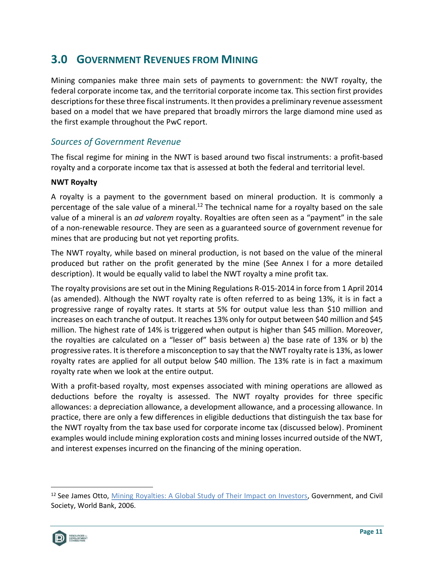# <span id="page-17-0"></span>**3.0 GOVERNMENT REVENUES FROM MINING**

Mining companies make three main sets of payments to government: the NWT royalty, the federal corporate income tax, and the territorial corporate income tax. This section first provides descriptions for these three fiscal instruments. It then provides a preliminary revenue assessment based on a model that we have prepared that broadly mirrors the large diamond mine used as the first example throughout the PwC report.

## <span id="page-17-1"></span>*Sources of Government Revenue*

The fiscal regime for mining in the NWT is based around two fiscal instruments: a profit-based royalty and a corporate income tax that is assessed at both the federal and territorial level.

#### <span id="page-17-2"></span>**NWT Royalty**

A royalty is a payment to the government based on mineral production. It is commonly a percentage of the sale value of a mineral.<sup>12</sup> The technical name for a royalty based on the sale value of a mineral is an *ad valorem* royalty. Royalties are often seen as a "payment" in the sale of a non-renewable resource. They are seen as a guaranteed source of government revenue for mines that are producing but not yet reporting profits.

The NWT royalty, while based on mineral production, is not based on the value of the mineral produced but rather on the profit generated by the mine (See Annex I for a more detailed description). It would be equally valid to label the NWT royalty a mine profit tax.

The royalty provisions are set out in the Mining Regulations R-015-2014 in force from 1 April 2014 (as amended). Although the NWT royalty rate is often referred to as being 13%, it is in fact a progressive range of royalty rates. It starts at 5% for output value less than \$10 million and increases on each tranche of output. It reaches 13% only for output between \$40 million and \$45 million. The highest rate of 14% is triggered when output is higher than \$45 million. Moreover, the royalties are calculated on a "lesser of" basis between a) the base rate of 13% or b) the progressive rates. It is therefore a misconception to say that the NWT royalty rate is 13%, as lower royalty rates are applied for all output below \$40 million. The 13% rate is in fact a maximum royalty rate when we look at the entire output.

With a profit-based royalty, most expenses associated with mining operations are allowed as deductions before the royalty is assessed. The NWT royalty provides for three specific allowances: a depreciation allowance, a development allowance, and a processing allowance. In practice, there are only a few differences in eligible deductions that distinguish the tax base for the NWT royalty from the tax base used for corporate income tax (discussed below). Prominent examples would include mining exploration costs and mining losses incurred outside of the NWT, and interest expenses incurred on the financing of the mining operation.

<sup>&</sup>lt;sup>12</sup> See James Otto, [Mining Royalties: A Global Study of Their Impact on Investors,](https://openknowledge.worldbank.org/bitstream/handle/10986/7105/372580Mining0r101OFFICIAL0USE0ONLY1.pdf?sequence=1&isAllowed=y) Government, and Civil Society, World Bank, 2006.

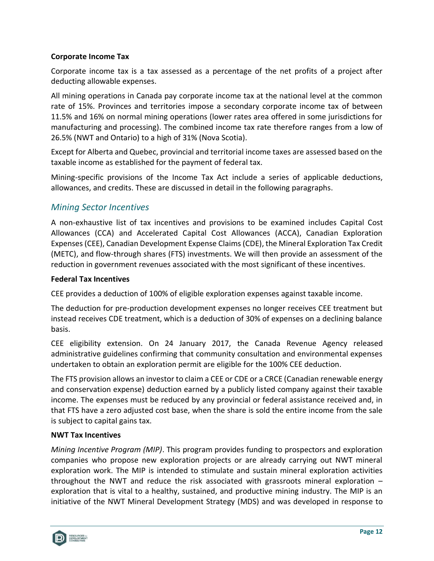#### <span id="page-18-0"></span>**Corporate Income Tax**

Corporate income tax is a tax assessed as a percentage of the net profits of a project after deducting allowable expenses.

All mining operations in Canada pay corporate income tax at the national level at the common rate of 15%. Provinces and territories impose a secondary corporate income tax of between 11.5% and 16% on normal mining operations (lower rates area offered in some jurisdictions for manufacturing and processing). The combined income tax rate therefore ranges from a low of 26.5% (NWT and Ontario) to a high of 31% (Nova Scotia).

Except for Alberta and Quebec, provincial and territorial income taxes are assessed based on the taxable income as established for the payment of federal tax.

Mining-specific provisions of the Income Tax Act include a series of applicable deductions, allowances, and credits. These are discussed in detail in the following paragraphs.

## <span id="page-18-1"></span>*Mining Sector Incentives*

A non-exhaustive list of tax incentives and provisions to be examined includes Capital Cost Allowances (CCA) and Accelerated Capital Cost Allowances (ACCA), Canadian Exploration Expenses (CEE), Canadian Development Expense Claims (CDE), the Mineral Exploration Tax Credit (METC), and flow-through shares (FTS) investments. We will then provide an assessment of the reduction in government revenues associated with the most significant of these incentives.

#### <span id="page-18-2"></span>**Federal Tax Incentives**

CEE provides a deduction of 100% of eligible exploration expenses against taxable income.

The deduction for pre-production development expenses no longer receives CEE treatment but instead receives CDE treatment, which is a deduction of 30% of expenses on a declining balance basis.

CEE eligibility extension. On 24 January 2017, the Canada Revenue Agency released administrative guidelines confirming that community consultation and environmental expenses undertaken to obtain an exploration permit are eligible for the 100% CEE deduction.

The FTS provision allows an investor to claim a CEE or CDE or a CRCE (Canadian renewable energy and conservation expense) deduction earned by a publicly listed company against their taxable income. The expenses must be reduced by any provincial or federal assistance received and, in that FTS have a zero adjusted cost base, when the share is sold the entire income from the sale is subject to capital gains tax.

#### <span id="page-18-3"></span>**NWT Tax Incentives**

*Mining Incentive Program (MIP)*. This program provides funding to prospectors and exploration companies who propose new exploration projects or are already carrying out NWT mineral exploration work. The MIP is intended to stimulate and sustain mineral exploration activities throughout the NWT and reduce the risk associated with grassroots mineral exploration – exploration that is vital to a healthy, sustained, and productive mining industry. The MIP is an initiative of the NWT Mineral Development Strategy (MDS) and was developed in response to

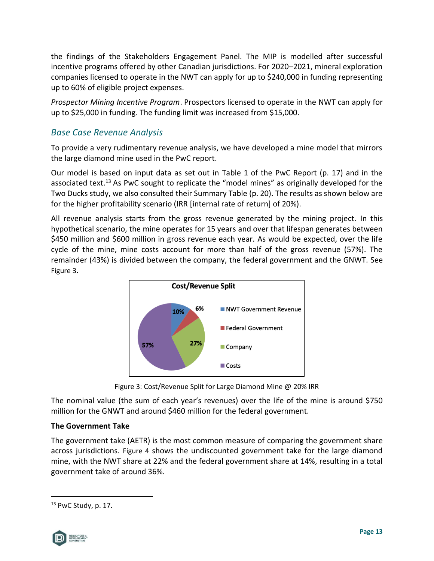the findings of the Stakeholders Engagement Panel. The MIP is modelled after successful incentive programs offered by other Canadian jurisdictions. For 2020–2021, mineral exploration companies licensed to operate in the NWT can apply for up to \$240,000 in funding representing up to 60% of eligible project expenses.

*Prospector Mining Incentive Program*. Prospectors licensed to operate in the NWT can apply for up to \$25,000 in funding. The funding limit was increased from \$15,000.

## <span id="page-19-0"></span>*Base Case Revenue Analysis*

To provide a very rudimentary revenue analysis, we have developed a mine model that mirrors the large diamond mine used in the PwC report.

Our model is based on input data as set out in Table 1 of the PwC Report (p. 17) and in the associated text.<sup>13</sup> As PwC sought to replicate the "model mines" as originally developed for the Two Ducks study, we also consulted their Summary Table (p. 20). The results as shown below are for the higher profitability scenario (IRR [internal rate of return] of 20%).

All revenue analysis starts from the gross revenue generated by the mining project. In this hypothetical scenario, the mine operates for 15 years and over that lifespan generates between \$450 million and \$600 million in gross revenue each year. As would be expected, over the life cycle of the mine, mine costs account for more than half of the gross revenue (57%). The remainder (43%) is divided between the company, the federal government and the GNWT. See [Figure 3](#page-19-2).



Figure 3: Cost/Revenue Split for Large Diamond Mine @ 20% IRR

<span id="page-19-2"></span>The nominal value (the sum of each year's revenues) over the life of the mine is around \$750 million for the GNWT and around \$460 million for the federal government.

### <span id="page-19-1"></span>**The Government Take**

The government take (AETR) is the most common measure of comparing the government share across jurisdictions. [Figure 4](#page-20-0) shows the undiscounted government take for the large diamond mine, with the NWT share at 22% and the federal government share at 14%, resulting in a total government take of around 36%.

 $13$  PwC Study, p. 17.

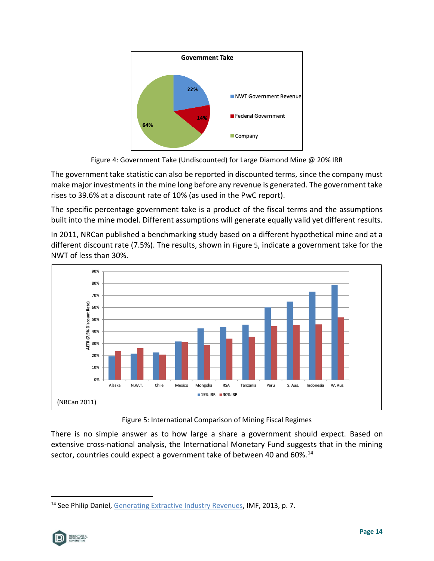

Figure 4: Government Take (Undiscounted) for Large Diamond Mine @ 20% IRR

<span id="page-20-0"></span>The government take statistic can also be reported in discounted terms, since the company must make major investments in the mine long before any revenue is generated. The government take rises to 39.6% at a discount rate of 10% (as used in the PwC report).

The specific percentage government take is a product of the fiscal terms and the assumptions built into the mine model. Different assumptions will generate equally valid yet different results.

In 2011, NRCan published a benchmarking study based on a different hypothetical mine and at a different discount rate (7.5%). The results, shown in [Figure 5](#page-20-1), indicate a government take for the NWT of less than 30%.



Figure 5: International Comparison of Mining Fiscal Regimes

<span id="page-20-1"></span>There is no simple answer as to how large a share a government should expect. Based on extensive cross-national analysis, the International Monetary Fund suggests that in the mining sector, countries could expect a government take of between 40 and 60%.<sup>14</sup>

<sup>&</sup>lt;sup>14</sup> See Philip Daniel, [Generating Extractive Industry Revenues,](https://financedocbox.com/Tax_Planning/96911037-Generating-extractive-industry-revenues.html) IMF, 2013, p. 7.

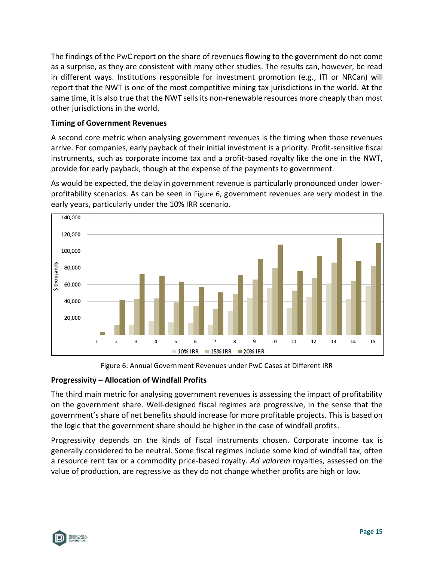The findings of the PwC report on the share of revenues flowing to the government do not come as a surprise, as they are consistent with many other studies. The results can, however, be read in different ways. Institutions responsible for investment promotion (e.g., ITI or NRCan) will report that the NWT is one of the most competitive mining tax jurisdictions in the world. At the same time, it is also true that the NWT sells its non-renewable resources more cheaply than most other jurisdictions in the world.

### <span id="page-21-0"></span>**Timing of Government Revenues**

A second core metric when analysing government revenues is the timing when those revenues arrive. For companies, early payback of their initial investment is a priority. Profit-sensitive fiscal instruments, such as corporate income tax and a profit-based royalty like the one in the NWT, provide for early payback, though at the expense of the payments to government.

As would be expected, the delay in government revenue is particularly pronounced under lowerprofitability scenarios. As can be seen in [Figure 6](#page-21-2), government revenues are very modest in the early years, particularly under the 10% IRR scenario.



Figure 6: Annual Government Revenues under PwC Cases at Different IRR

### <span id="page-21-2"></span><span id="page-21-1"></span>**Progressivity – Allocation of Windfall Profits**

The third main metric for analysing government revenues is assessing the impact of profitability on the government share. Well-designed fiscal regimes are progressive, in the sense that the government's share of net benefits should increase for more profitable projects. This is based on the logic that the government share should be higher in the case of windfall profits.

Progressivity depends on the kinds of fiscal instruments chosen. Corporate income tax is generally considered to be neutral. Some fiscal regimes include some kind of windfall tax, often a resource rent tax or a commodity price-based royalty. *Ad valorem* royalties, assessed on the value of production, are regressive as they do not change whether profits are high or low.

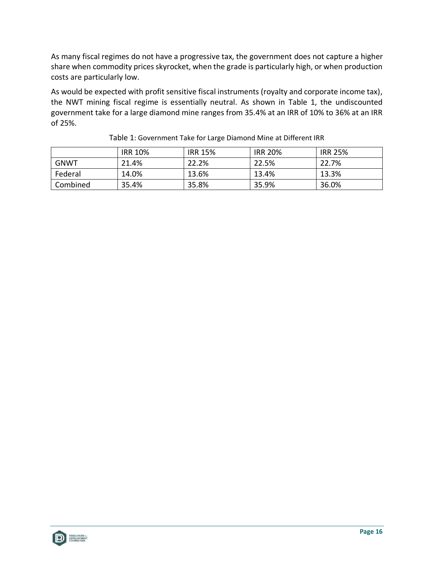As many fiscal regimes do not have a progressive tax, the government does not capture a higher share when commodity prices skyrocket, when the grade is particularly high, or when production costs are particularly low.

As would be expected with profit sensitive fiscal instruments (royalty and corporate income tax), the NWT mining fiscal regime is essentially neutral. As shown in [Table 1,](#page-22-0) the undiscounted government take for a large diamond mine ranges from 35.4% at an IRR of 10% to 36% at an IRR of 25%.

<span id="page-22-0"></span>

|             | <b>IRR 10%</b> | <b>IRR 15%</b> | <b>IRR 20%</b> | <b>IRR 25%</b> |
|-------------|----------------|----------------|----------------|----------------|
| <b>GNWT</b> | 21.4%          | 22.2%          | 22.5%          | 22.7%          |
| Federal     | 14.0%          | 13.6%          | 13.4%          | 13.3%          |
| Combined    | 35.4%          | 35.8%          | 35.9%          | 36.0%          |

Table 1: Government Take for Large Diamond Mine at Different IRR

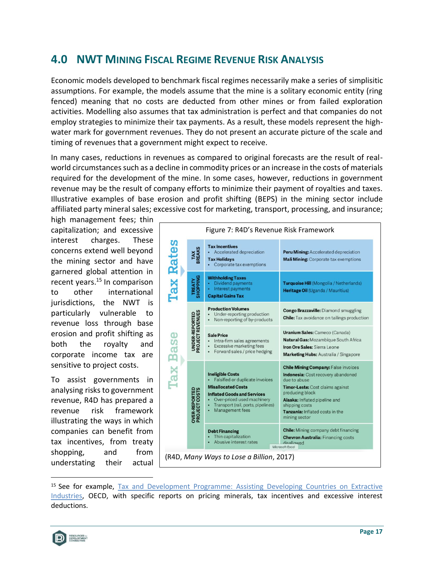# <span id="page-23-0"></span>**4.0 NWT MINING FISCAL REGIME REVENUE RISK ANALYSIS**

Economic models developed to benchmark fiscal regimes necessarily make a series of simplisitic assumptions. For example, the models assume that the mine is a solitary economic entity (ring fenced) meaning that no costs are deducted from other mines or from failed exploration activities. Modelling also assumes that tax administration is perfect and that companies do not employ strategies to minimize their tax payments. As a result, these models represent the highwater mark for government revenues. They do not present an accurate picture of the scale and timing of revenues that a government might expect to receive.

In many cases, reductions in revenues as compared to original forecasts are the result of realworld circumstances such as a decline in commodity prices or an increase in the costs of materials required for the development of the mine. In some cases, however, reductions in government revenue may be the result of company efforts to minimize their payment of royalties and taxes. Illustrative examples of base erosion and profit shifting (BEPS) in the mining sector include affiliated party mineral sales; excessive cost for marketing, transport, processing, and insurance;

high management fees; thin capitalization; and excessive interest charges. These concerns extend well beyond the mining sector and have garnered global attention in recent years.<sup>15</sup> In comparison to other international jurisdictions, the NWT is particularly vulnerable to revenue loss through base erosion and profit shifting as both the royalty and corporate income tax are sensitive to project costs.

To assist governments in analysing risks to government revenue, R4D has prepared a revenue risk framework illustrating the ways in which companies can benefit from tax incentives, from treaty shopping, and from understating their actual



<sup>&</sup>lt;sup>15</sup> See for example, Tax and Development Programme: Assisting Developing Countries on Extractive [Industries,](https://www.oecd.org/ctp/tax-global/work-on-extractive-industries.htm) OECD, with specific reports on pricing minerals, tax incentives and excessive interest deductions.

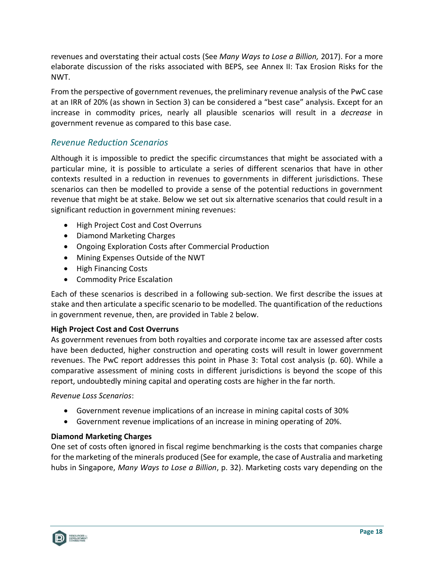revenues and overstating their actual costs (See *Many Ways to Lose a Billion,* 2017). For a more elaborate discussion of the risks associated with BEPS, see Annex [II: Tax Erosion Risks for the](#page-35-0)  [NWT.](#page-35-0)

From the perspective of government revenues, the preliminary revenue analysis of the PwC case at an IRR of 20% (as shown in Section 3) can be considered a "best case" analysis. Except for an increase in commodity prices, nearly all plausible scenarios will result in a *decrease* in government revenue as compared to this base case.

## <span id="page-24-0"></span>*Revenue Reduction Scenarios*

Although it is impossible to predict the specific circumstances that might be associated with a particular mine, it is possible to articulate a series of different scenarios that have in other contexts resulted in a reduction in revenues to governments in different jurisdictions. These scenarios can then be modelled to provide a sense of the potential reductions in government revenue that might be at stake. Below we set out six alternative scenarios that could result in a significant reduction in government mining revenues:

- High Project Cost and Cost Overruns
- Diamond Marketing Charges
- Ongoing Exploration Costs after Commercial Production
- Mining Expenses Outside of the NWT
- High Financing Costs
- Commodity Price Escalation

Each of these scenarios is described in a following sub-section. We first describe the issues at stake and then articulate a specific scenario to be modelled. The quantification of the reductions in government revenue, then, are provided in [Table 2](#page-27-0) below.

### <span id="page-24-1"></span>**High Project Cost and Cost Overruns**

As government revenues from both royalties and corporate income tax are assessed after costs have been deducted, higher construction and operating costs will result in lower government revenues. The PwC report addresses this point in Phase 3: Total cost analysis (p. 60). While a comparative assessment of mining costs in different jurisdictions is beyond the scope of this report, undoubtedly mining capital and operating costs are higher in the far north.

*Revenue Loss Scenarios*:

- Government revenue implications of an increase in mining capital costs of 30%
- Government revenue implications of an increase in mining operating of 20%.

### <span id="page-24-2"></span>**Diamond Marketing Charges**

One set of costs often ignored in fiscal regime benchmarking is the costs that companies charge for the marketing of the minerals produced (See for example, the case of Australia and marketing hubs in Singapore, *Many Ways to Lose a Billion*, p. 32). Marketing costs vary depending on the

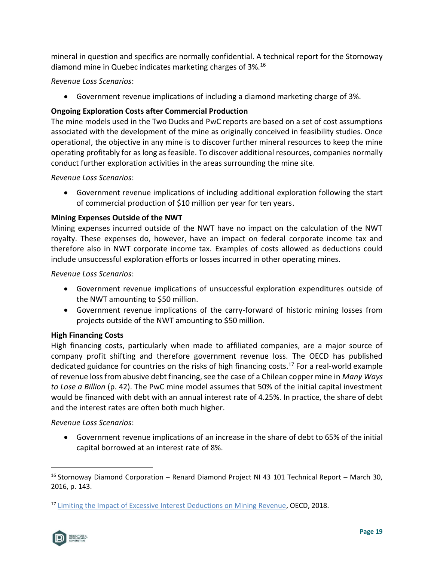mineral in question and specifics are normally confidential. A technical report for the Stornoway diamond mine in Quebec indicates marketing charges of 3%.<sup>16</sup>

*Revenue Loss Scenarios*:

• Government revenue implications of including a diamond marketing charge of 3%.

## <span id="page-25-0"></span>**Ongoing Exploration Costs after Commercial Production**

The mine models used in the Two Ducks and PwC reports are based on a set of cost assumptions associated with the development of the mine as originally conceived in feasibility studies. Once operational, the objective in any mine is to discover further mineral resources to keep the mine operating profitably for as long as feasible. To discover additional resources, companies normally conduct further exploration activities in the areas surrounding the mine site.

### *Revenue Loss Scenarios*:

• Government revenue implications of including additional exploration following the start of commercial production of \$10 million per year for ten years.

### <span id="page-25-1"></span>**Mining Expenses Outside of the NWT**

Mining expenses incurred outside of the NWT have no impact on the calculation of the NWT royalty. These expenses do, however, have an impact on federal corporate income tax and therefore also in NWT corporate income tax. Examples of costs allowed as deductions could include unsuccessful exploration efforts or losses incurred in other operating mines.

### *Revenue Loss Scenarios*:

- Government revenue implications of unsuccessful exploration expenditures outside of the NWT amounting to \$50 million.
- Government revenue implications of the carry-forward of historic mining losses from projects outside of the NWT amounting to \$50 million.

## <span id="page-25-2"></span>**High Financing Costs**

High financing costs, particularly when made to affiliated companies, are a major source of company profit shifting and therefore government revenue loss. The OECD has published dedicated guidance for countries on the risks of high financing costs.<sup>17</sup> For a real-world example of revenue loss from abusive debt financing, see the case of a Chilean copper mine in *Many Ways to Lose a Billion* (p. 42). The PwC mine model assumes that 50% of the initial capital investment would be financed with debt with an annual interest rate of 4.25%. In practice, the share of debt and the interest rates are often both much higher.

### *Revenue Loss Scenarios*:

• Government revenue implications of an increase in the share of debt to 65% of the initial capital borrowed at an interest rate of 8%.

<sup>&</sup>lt;sup>17</sup> [Limiting the Impact of Excessive Interest Deductions on Mining Revenue,](https://www.oecd.org/tax/beps/limiting-the-impact-of-excessive-interest-deductions-on-mining-revenue-oecd-igf.pdf) OECD, 2018.



<sup>&</sup>lt;sup>16</sup> Stornoway Diamond Corporation – Renard Diamond Project NI 43 101 Technical Report – March 30, 2016, p. 143.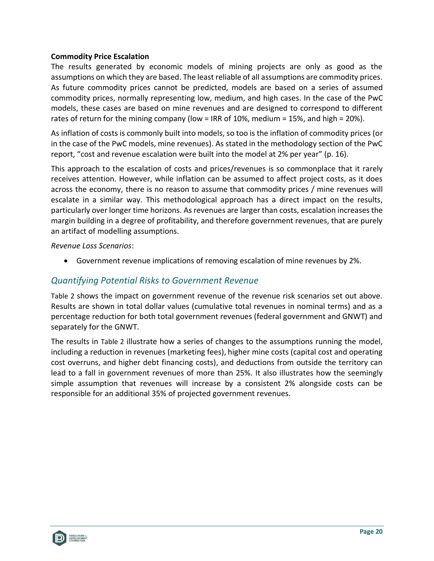#### <span id="page-26-0"></span>**Commodity Price Escalation**

The results generated by economic models of mining projects are only as good as the assumptions on which they are based. The least reliable of all assumptions are commodity prices. As future commodity prices cannot be predicted, models are based on a series of assumed commodity prices, normally representing low, medium, and high cases. In the case of the PwC models, these cases are based on mine revenues and are designed to correspond to different rates of return for the mining company (low = IRR of 10%, medium = 15%, and high = 20%).

As inflation of costs is commonly built into models, so too is the inflation of commodity prices (or in the case of the PwC models, mine revenues). As stated in the methodology section of the PwC report, "cost and revenue escalation were built into the model at 2% per year" (p. 16).

This approach to the escalation of costs and prices/revenues is so commonplace that it rarely receives attention. However, while inflation can be assumed to affect project costs, as it does across the economy, there is no reason to assume that commodity prices / mine revenues will escalate in a similar way. This methodological approach has a direct impact on the results, particularly over longer time horizons. As revenues are larger than costs, escalation increases the margin building in a degree of profitability, and therefore government revenues, that are purely an artifact of modelling assumptions.

*Revenue Loss Scenarios*:

• Government revenue implications of removing escalation of mine revenues by 2%.

### <span id="page-26-1"></span>*Quantifying Potential Risks to Government Revenue*

[Table 2](#page-27-0) shows the impact on government revenue of the revenue risk scenarios set out above. Results are shown in total dollar values (cumulative total revenues in nominal terms) and as a percentage reduction for both total government revenues (federal government and GNWT) and separately for the GNWT.

The results in [Table 2](#page-27-0) illustrate how a series of changes to the assumptions running the model, including a reduction in revenues (marketing fees), higher mine costs (capital cost and operating cost overruns, and higher debt financing costs), and deductions from outside the territory can lead to a fall in government revenues of more than 25%. It also illustrates how the seemingly simple assumption that revenues will increase by a consistent 2% alongside costs can be responsible for an additional 35% of projected government revenues.

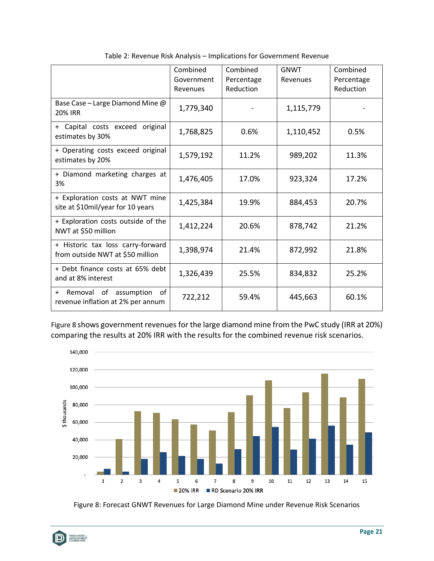<span id="page-27-0"></span>

|                                                                               | Combined<br>Government<br>Revenues | Combined<br>Percentage<br>Reduction | <b>GNWT</b><br>Revenues | Combined<br>Percentage<br>Reduction |
|-------------------------------------------------------------------------------|------------------------------------|-------------------------------------|-------------------------|-------------------------------------|
| Base Case - Large Diamond Mine @<br><b>20% IRR</b>                            | 1,779,340                          |                                     | 1,115,779               |                                     |
| original<br>+ Capital costs exceed<br>estimates by 30%                        | 1,768,825                          | 0.6%                                | 1,110,452               | 0.5%                                |
| + Operating costs exceed original<br>estimates by 20%                         | 1,579,192                          | 11.2%                               | 989,202                 | 11.3%                               |
| + Diamond marketing charges at<br>3%                                          | 1,476,405                          | 17.0%                               | 923,324                 | 17.2%                               |
| + Exploration costs at NWT mine<br>site at \$10mil/year for 10 years          | 1,425,384                          | 19.9%                               | 884,453                 | 20.7%                               |
| + Exploration costs outside of the<br>NWT at \$50 million                     | 1,412,224                          | 20.6%                               | 878,742                 | 21.2%                               |
| + Historic tax loss carry-forward<br>from outside NWT at \$50 million         | 1,398,974                          | 21.4%                               | 872,992                 | 21.8%                               |
| + Debt finance costs at 65% debt<br>and at 8% interest                        | 1,326,439                          | 25.5%                               | 834,832                 | 25.2%                               |
| of<br>Removal of assumption<br>$\ddot{}$<br>revenue inflation at 2% per annum | 722,212                            | 59.4%                               | 445,663                 | 60.1%                               |

Table 2: Revenue Risk Analysis – Implications for Government Revenue

[Figure 8](#page-27-1) shows government revenues for the large diamond mine from the PwC study (IRR at 20%) comparing the results at 20% IRR with the results for the combined revenue risk scenarios.



<span id="page-27-1"></span>Figure 8: Forecast GNWT Revenues for Large Diamond Mine under Revenue Risk Scenarios

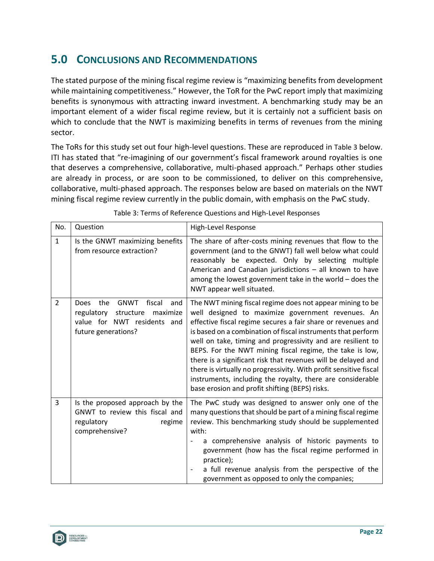# <span id="page-28-0"></span>**5.0 CONCLUSIONS AND RECOMMENDATIONS**

The stated purpose of the mining fiscal regime review is "maximizing benefits from development while maintaining competitiveness." However, the ToR for the PwC report imply that maximizing benefits is synonymous with attracting inward investment. A benchmarking study may be an important element of a wider fiscal regime review, but it is certainly not a sufficient basis on which to conclude that the NWT is maximizing benefits in terms of revenues from the mining sector.

The ToRs for this study set out four high-level questions. These are reproduced in [Table 3](#page-28-1) below. ITI has stated that "re-imagining of our government's fiscal framework around royalties is one that deserves a comprehensive, collaborative, multi-phased approach." Perhaps other studies are already in process, or are soon to be commissioned, to deliver on this comprehensive, collaborative, multi-phased approach. The responses below are based on materials on the NWT mining fiscal regime review currently in the public domain, with emphasis on the PwC study.

<span id="page-28-1"></span>

| No.            | Question                                                                                                                                        | High-Level Response                                                                                                                                                                                                                                                                                                                                                                                                                                                                                                                                                                                                             |
|----------------|-------------------------------------------------------------------------------------------------------------------------------------------------|---------------------------------------------------------------------------------------------------------------------------------------------------------------------------------------------------------------------------------------------------------------------------------------------------------------------------------------------------------------------------------------------------------------------------------------------------------------------------------------------------------------------------------------------------------------------------------------------------------------------------------|
| $\mathbf{1}$   | Is the GNWT maximizing benefits<br>from resource extraction?                                                                                    | The share of after-costs mining revenues that flow to the<br>government (and to the GNWT) fall well below what could<br>reasonably be expected. Only by selecting multiple<br>American and Canadian jurisdictions - all known to have<br>among the lowest government take in the world - does the<br>NWT appear well situated.                                                                                                                                                                                                                                                                                                  |
| $\overline{2}$ | <b>GNWT</b><br>fiscal<br>the<br>and<br><b>Does</b><br>maximize<br>regulatory<br>structure<br>value for NWT residents and<br>future generations? | The NWT mining fiscal regime does not appear mining to be<br>well designed to maximize government revenues. An<br>effective fiscal regime secures a fair share or revenues and<br>is based on a combination of fiscal instruments that perform<br>well on take, timing and progressivity and are resilient to<br>BEPS. For the NWT mining fiscal regime, the take is low,<br>there is a significant risk that revenues will be delayed and<br>there is virtually no progressivity. With profit sensitive fiscal<br>instruments, including the royalty, there are considerable<br>base erosion and profit shifting (BEPS) risks. |
| 3              | Is the proposed approach by the<br>GNWT to review this fiscal and<br>regulatory<br>regime<br>comprehensive?                                     | The PwC study was designed to answer only one of the<br>many questions that should be part of a mining fiscal regime<br>review. This benchmarking study should be supplemented<br>with:<br>a comprehensive analysis of historic payments to<br>government (how has the fiscal regime performed in<br>practice);<br>a full revenue analysis from the perspective of the<br>government as opposed to only the companies;                                                                                                                                                                                                          |

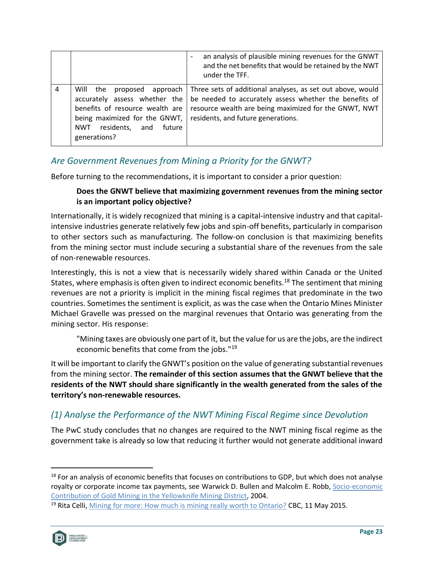|   |                                                                                                                                                                                           | an analysis of plausible mining revenues for the GNWT<br>and the net benefits that would be retained by the NWT<br>under the TFF.                                                                                   |
|---|-------------------------------------------------------------------------------------------------------------------------------------------------------------------------------------------|---------------------------------------------------------------------------------------------------------------------------------------------------------------------------------------------------------------------|
| 4 | Will the<br>proposed approach<br>accurately assess whether the<br>benefits of resource wealth are<br>being maximized for the GNWT,<br>residents, and future<br><b>NWT</b><br>generations? | Three sets of additional analyses, as set out above, would<br>be needed to accurately assess whether the benefits of<br>resource wealth are being maximized for the GNWT, NWT<br>residents, and future generations. |

## <span id="page-29-0"></span>*Are Government Revenues from Mining a Priority for the GNWT?*

Before turning to the recommendations, it is important to consider a prior question:

### **Does the GNWT believe that maximizing government revenues from the mining sector is an important policy objective?**

Internationally, it is widely recognized that mining is a capital-intensive industry and that capitalintensive industries generate relatively few jobs and spin-off benefits, particularly in comparison to other sectors such as manufacturing. The follow-on conclusion is that maximizing benefits from the mining sector must include securing a substantial share of the revenues from the sale of non-renewable resources.

Interestingly, this is not a view that is necessarily widely shared within Canada or the United States, where emphasis is often given to indirect economic benefits.<sup>18</sup> The sentiment that mining revenues are not a priority is implicit in the mining fiscal regimes that predominate in the two countries. Sometimes the sentiment is explicit, as was the case when the Ontario Mines Minister Michael Gravelle was pressed on the marginal revenues that Ontario was generating from the mining sector. His response:

"Mining taxes are obviously one part of it, but the value for us are the jobs, are the indirect economic benefits that come from the jobs." 19

It will be important to clarify the GNWT's position on the value of generating substantial revenues from the mining sector. **The remainder of this section assumes that the GNWT believe that the residents of the NWT should share significantly in the wealth generated from the sales of the territory's non-renewable resources.**

## <span id="page-29-1"></span>*(1) Analyse the Performance of the NWT Mining Fiscal Regime since Devolution*

The PwC study concludes that no changes are required to the NWT mining fiscal regime as the government take is already so low that reducing it further would not generate additional inward

<sup>&</sup>lt;sup>19</sup> Rita Celli[, Mining for more: How much is mining really worth to Ontario?](https://www.cbc.ca/news/business/mining-for-more-how-much-is-mining-really-worth-to-ontario-1.3063642) CBC, 11 May 2015.



<sup>&</sup>lt;sup>18</sup> For an analysis of economic benefits that focuses on contributions to GDP, but which does not analyse royalty or corporate income tax payments, see Warwick D. Bullen and Malcolm E. Robb, Socio-economic [Contribution of Gold Mining in the Yellowknife Mining District,](https://www.google.com/url?sa=t&rct=j&q=&esrc=s&source=web&cd=&ved=2ahUKEwiqvLOcmdzyAhVLheAKHapABDQQFnoECAQQAQ&url=http%3A%2F%2Fwww.miningnorth.com%2F_rsc%2Fsite-content%2Flibrary%2Feconomics%2FRobb-Bullen-Socio-Economic_Impacts_of_GoldMining_in_Yellowknife2004.pdf&usg=AOvVaw0q6EPWZontMe9fXfuDewxg) 2004.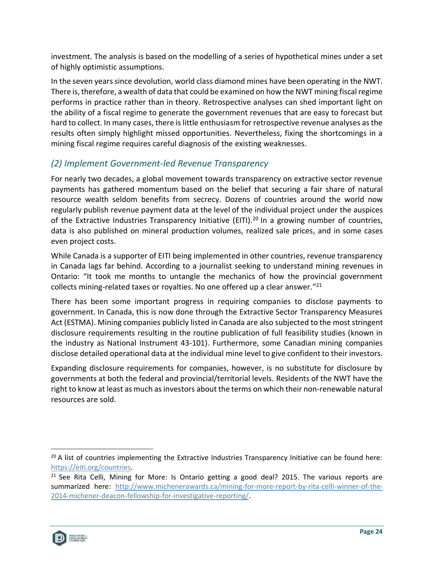investment. The analysis is based on the modelling of a series of hypothetical mines under a set of highly optimistic assumptions.

In the seven years since devolution, world class diamond mines have been operating in the NWT. There is, therefore, a wealth of data that could be examined on how the NWT mining fiscal regime performs in practice rather than in theory. Retrospective analyses can shed important light on the ability of a fiscal regime to generate the government revenues that are easy to forecast but hard to collect. In many cases, there is little enthusiasm for retrospective revenue analyses as the results often simply highlight missed opportunities. Nevertheless, fixing the shortcomings in a mining fiscal regime requires careful diagnosis of the existing weaknesses.

## <span id="page-30-0"></span>*(2) Implement Government-led Revenue Transparency*

For nearly two decades, a global movement towards transparency on extractive sector revenue payments has gathered momentum based on the belief that securing a fair share of natural resource wealth seldom benefits from secrecy. Dozens of countries around the world now regularly publish revenue payment data at the level of the individual project under the auspices of the Extractive Industries Transparency Initiative (EITI).<sup>20</sup> In a growing number of countries, data is also published on mineral production volumes, realized sale prices, and in some cases even project costs.

While Canada is a supporter of EITI being implemented in other countries, revenue transparency in Canada lags far behind. According to a journalist seeking to understand mining revenues in Ontario: "It took me months to untangle the mechanics of how the provincial government collects mining-related taxes or royalties. No one offered up a clear answer." 21

There has been some important progress in requiring companies to disclose payments to government. In Canada, this is now done through the Extractive Sector Transparency Measures Act (ESTMA). Mining companies publicly listed in Canada are also subjected to the most stringent disclosure requirements resulting in the routine publication of full feasibility studies (known in the industry as National Instrument 43-101). Furthermore, some Canadian mining companies disclose detailed operational data at the individual mine level to give confident to their investors.

Expanding disclosure requirements for companies, however, is no substitute for disclosure by governments at both the federal and provincial/territorial levels. Residents of the NWT have the right to know at least as much as investors about the terms on which their non-renewable natural resources are sold.



 $20$  A list of countries implementing the Extractive Industries Transparency Initiative can be found here: [https://eiti.org/countries.](https://eiti.org/countries)

 $21$  See Rita Celli, Mining for More: Is Ontario getting a good deal? 2015. The various reports are summarized here: [http://www.michenerawards.ca/mining-for-more-report-by-rita-celli-winner-of-the-](http://www.michenerawards.ca/mining-for-more-report-by-rita-celli-winner-of-the-2014-michener-deacon-fellowship-for-investigative-reporting/)[2014-michener-deacon-fellowship-for-investigative-reporting/.](http://www.michenerawards.ca/mining-for-more-report-by-rita-celli-winner-of-the-2014-michener-deacon-fellowship-for-investigative-reporting/)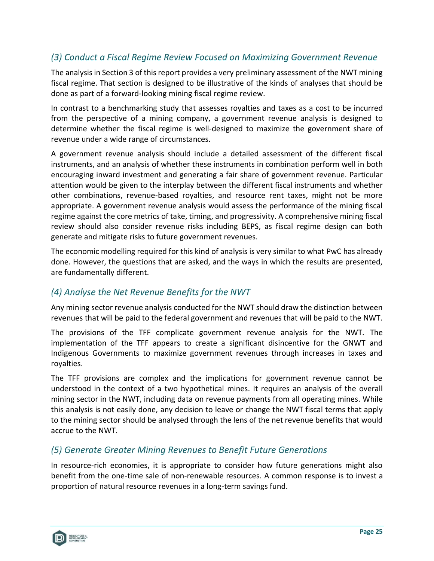## <span id="page-31-0"></span>*(3) Conduct a Fiscal Regime Review Focused on Maximizing Government Revenue*

The analysis in Section 3 of this report provides a very preliminary assessment of the NWT mining fiscal regime. That section is designed to be illustrative of the kinds of analyses that should be done as part of a forward-looking mining fiscal regime review.

In contrast to a benchmarking study that assesses royalties and taxes as a cost to be incurred from the perspective of a mining company, a government revenue analysis is designed to determine whether the fiscal regime is well-designed to maximize the government share of revenue under a wide range of circumstances.

A government revenue analysis should include a detailed assessment of the different fiscal instruments, and an analysis of whether these instruments in combination perform well in both encouraging inward investment and generating a fair share of government revenue. Particular attention would be given to the interplay between the different fiscal instruments and whether other combinations, revenue-based royalties, and resource rent taxes, might not be more appropriate. A government revenue analysis would assess the performance of the mining fiscal regime against the core metrics of take, timing, and progressivity. A comprehensive mining fiscal review should also consider revenue risks including BEPS, as fiscal regime design can both generate and mitigate risks to future government revenues.

The economic modelling required for this kind of analysis is very similar to what PwC has already done. However, the questions that are asked, and the ways in which the results are presented, are fundamentally different.

## <span id="page-31-1"></span>*(4) Analyse the Net Revenue Benefits for the NWT*

Any mining sector revenue analysis conducted for the NWT should draw the distinction between revenues that will be paid to the federal government and revenues that will be paid to the NWT.

The provisions of the TFF complicate government revenue analysis for the NWT. The implementation of the TFF appears to create a significant disincentive for the GNWT and Indigenous Governments to maximize government revenues through increases in taxes and royalties.

The TFF provisions are complex and the implications for government revenue cannot be understood in the context of a two hypothetical mines. It requires an analysis of the overall mining sector in the NWT, including data on revenue payments from all operating mines. While this analysis is not easily done, any decision to leave or change the NWT fiscal terms that apply to the mining sector should be analysed through the lens of the net revenue benefits that would accrue to the NWT.

## <span id="page-31-2"></span>*(5) Generate Greater Mining Revenues to Benefit Future Generations*

In resource-rich economies, it is appropriate to consider how future generations might also benefit from the one-time sale of non-renewable resources. A common response is to invest a proportion of natural resource revenues in a long-term savings fund.

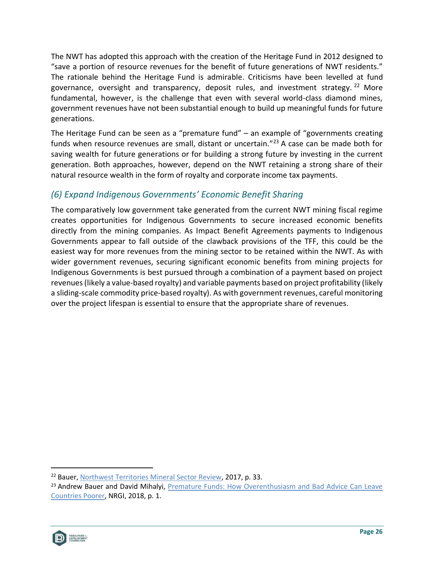The NWT has adopted this approach with the creation of the Heritage Fund in 2012 designed to "save a portion of resource revenues for the benefit of future generations of NWT residents." The rationale behind the Heritage Fund is admirable. Criticisms have been levelled at fund governance, oversight and transparency, deposit rules, and investment strategy.<sup>22</sup> More fundamental, however, is the challenge that even with several world-class diamond mines, government revenues have not been substantial enough to build up meaningful funds for future generations.

The Heritage Fund can be seen as a "premature fund" – an example of "governments creating funds when resource revenues are small, distant or uncertain."<sup>23</sup> A case can be made both for saving wealth for future generations or for building a strong future by investing in the current generation. Both approaches, however, depend on the NWT retaining a strong share of their natural resource wealth in the form of royalty and corporate income tax payments.

# <span id="page-32-0"></span>*(6) Expand Indigenous Governments' Economic Benefit Sharing*

The comparatively low government take generated from the current NWT mining fiscal regime creates opportunities for Indigenous Governments to secure increased economic benefits directly from the mining companies. As Impact Benefit Agreements payments to Indigenous Governments appear to fall outside of the clawback provisions of the TFF, this could be the easiest way for more revenues from the mining sector to be retained within the NWT. As with wider government revenues, securing significant economic benefits from mining projects for Indigenous Governments is best pursued through a combination of a payment based on project revenues (likely a value-based royalty) and variable payments based on project profitability (likely a sliding-scale commodity price-based royalty). As with government revenues, careful monitoring over the project lifespan is essential to ensure that the appropriate share of revenues.

<sup>&</sup>lt;sup>23</sup> Andrew Bauer and David Mihalyi, Premature Funds: How Overenthusiasm and Bad Advice Can Leave [Countries Poorer,](https://resourcegovernance.org/analysis-tools/publications/premature-funds) NRGI, 2018, p. 1.



<sup>&</sup>lt;sup>22</sup> Bauer, [Northwest Territories Mineral Sector Review,](https://www.engage-iti.ca/3808/widgets/15654/documents/7981) 2017, p. 33.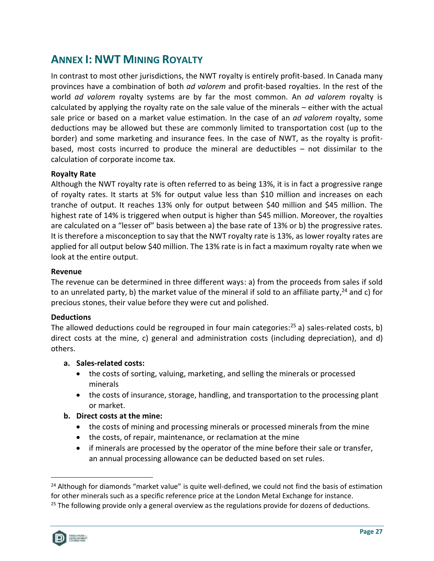# <span id="page-33-0"></span>**ANNEX I: NWT MINING ROYALTY**

In contrast to most other jurisdictions, the NWT royalty is entirely profit-based. In Canada many provinces have a combination of both *ad valorem* and profit-based royalties. In the rest of the world *ad valorem* royalty systems are by far the most common. An *ad valorem* royalty is calculated by applying the royalty rate on the sale value of the minerals – either with the actual sale price or based on a market value estimation. In the case of an *ad valorem* royalty, some deductions may be allowed but these are commonly limited to transportation cost (up to the border) and some marketing and insurance fees. In the case of NWT, as the royalty is profitbased, most costs incurred to produce the mineral are deductibles – not dissimilar to the calculation of corporate income tax.

### **Royalty Rate**

Although the NWT royalty rate is often referred to as being 13%, it is in fact a progressive range of royalty rates. It starts at 5% for output value less than \$10 million and increases on each tranche of output. It reaches 13% only for output between \$40 million and \$45 million. The highest rate of 14% is triggered when output is higher than \$45 million. Moreover, the royalties are calculated on a "lesser of" basis between a) the base rate of 13% or b) the progressive rates. It is therefore a misconception to say that the NWT royalty rate is 13%, as lower royalty rates are applied for all output below \$40 million. The 13% rate is in fact a maximum royalty rate when we look at the entire output.

#### **Revenue**

The revenue can be determined in three different ways: a) from the proceeds from sales if sold to an unrelated party, b) the market value of the mineral if sold to an affiliate party,<sup>24</sup> and c) for precious stones, their value before they were cut and polished.

#### **Deductions**

The allowed deductions could be regrouped in four main categories:<sup>25</sup> a) sales-related costs, b) direct costs at the mine, c) general and administration costs (including depreciation), and d) others.

#### **a. Sales-related costs:**

- the costs of sorting, valuing, marketing, and selling the minerals or processed minerals
- the costs of insurance, storage, handling, and transportation to the processing plant or market.

#### **b. Direct costs at the mine:**

- the costs of mining and processing minerals or processed minerals from the mine
- the costs, of repair, maintenance, or reclamation at the mine
- if minerals are processed by the operator of the mine before their sale or transfer, an annual processing allowance can be deducted based on set rules.

 $25$  The following provide only a general overview as the regulations provide for dozens of deductions.



<sup>&</sup>lt;sup>24</sup> Although for diamonds "market value" is quite well-defined, we could not find the basis of estimation for other minerals such as a specific reference price at the London Metal Exchange for instance.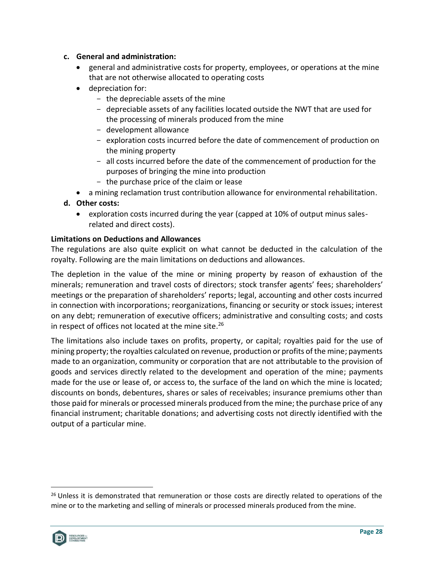#### **c. General and administration:**

- general and administrative costs for property, employees, or operations at the mine that are not otherwise allocated to operating costs
- depreciation for:
	- the depreciable assets of the mine
	- depreciable assets of any facilities located outside the NWT that are used for the processing of minerals produced from the mine
	- development allowance
	- exploration costs incurred before the date of commencement of production on the mining property
	- all costs incurred before the date of the commencement of production for the purposes of bringing the mine into production
	- the purchase price of the claim or lease
- a mining reclamation trust contribution allowance for environmental rehabilitation.
- **d. Other costs:** 
	- exploration costs incurred during the year (capped at 10% of output minus salesrelated and direct costs).

### **Limitations on Deductions and Allowances**

The regulations are also quite explicit on what cannot be deducted in the calculation of the royalty. Following are the main limitations on deductions and allowances.

The depletion in the value of the mine or mining property by reason of exhaustion of the minerals; remuneration and travel costs of directors; stock transfer agents' fees; shareholders' meetings or the preparation of shareholders' reports; legal, accounting and other costs incurred in connection with incorporations; reorganizations, financing or security or stock issues; interest on any debt; remuneration of executive officers; administrative and consulting costs; and costs in respect of offices not located at the mine site. 26

The limitations also include taxes on profits, property, or capital; royalties paid for the use of mining property; the royalties calculated on revenue, production or profits of the mine; payments made to an organization, community or corporation that are not attributable to the provision of goods and services directly related to the development and operation of the mine; payments made for the use or lease of, or access to, the surface of the land on which the mine is located; discounts on bonds, debentures, shares or sales of receivables; insurance premiums other than those paid for minerals or processed minerals produced from the mine; the purchase price of any financial instrument; charitable donations; and advertising costs not directly identified with the output of a particular mine.

<sup>&</sup>lt;sup>26</sup> Unless it is demonstrated that remuneration or those costs are directly related to operations of the mine or to the marketing and selling of minerals or processed minerals produced from the mine.

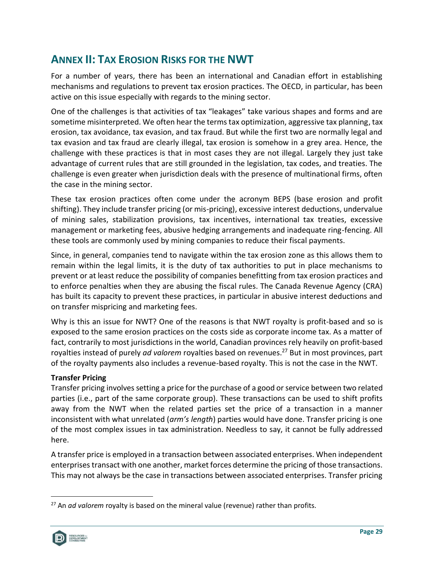# <span id="page-35-0"></span>**ANNEX II: TAX EROSION RISKS FOR THE NWT**

For a number of years, there has been an international and Canadian effort in establishing mechanisms and regulations to prevent tax erosion practices. The OECD, in particular, has been active on this issue especially with regards to the mining sector.

One of the challenges is that activities of tax "leakages" take various shapes and forms and are sometime misinterpreted. We often hear the terms tax optimization, aggressive tax planning, tax erosion, tax avoidance, tax evasion, and tax fraud. But while the first two are normally legal and tax evasion and tax fraud are clearly illegal, tax erosion is somehow in a grey area. Hence, the challenge with these practices is that in most cases they are not illegal. Largely they just take advantage of current rules that are still grounded in the legislation, tax codes, and treaties. The challenge is even greater when jurisdiction deals with the presence of multinational firms, often the case in the mining sector.

These tax erosion practices often come under the acronym BEPS (base erosion and profit shifting). They include transfer pricing (or mis-pricing), excessive interest deductions, undervalue of mining sales, stabilization provisions, tax incentives, international tax treaties, excessive management or marketing fees, abusive hedging arrangements and inadequate ring-fencing. All these tools are commonly used by mining companies to reduce their fiscal payments.

Since, in general, companies tend to navigate within the tax erosion zone as this allows them to remain within the legal limits, it is the duty of tax authorities to put in place mechanisms to prevent or at least reduce the possibility of companies benefitting from tax erosion practices and to enforce penalties when they are abusing the fiscal rules. The Canada Revenue Agency (CRA) has built its capacity to prevent these practices, in particular in abusive interest deductions and on transfer mispricing and marketing fees.

Why is this an issue for NWT? One of the reasons is that NWT royalty is profit-based and so is exposed to the same erosion practices on the costs side as corporate income tax. As a matter of fact, contrarily to most jurisdictions in the world, Canadian provinces rely heavily on profit-based royalties instead of purely *ad valorem* royalties based on revenues.<sup>27</sup> But in most provinces, part of the royalty payments also includes a revenue-based royalty. This is not the case in the NWT.

### **Transfer Pricing**

Transfer pricing involves setting a price for the purchase of a good or service between two related parties (i.e., part of the same corporate group). These transactions can be used to shift profits away from the NWT when the related parties set the price of a transaction in a manner inconsistent with what unrelated (*arm's length*) parties would have done. Transfer pricing is one of the most complex issues in tax administration. Needless to say, it cannot be fully addressed here.

A transfer price is employed in a transaction between associated enterprises. When independent enterprises transact with one another, market forces determine the pricing of those transactions. This may not always be the case in transactions between associated enterprises. Transfer pricing

<sup>27</sup> An *ad valorem* royalty is based on the mineral value (revenue) rather than profits.

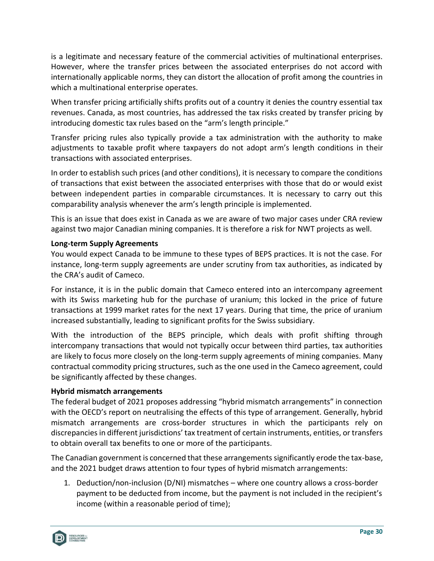is a legitimate and necessary feature of the commercial activities of multinational enterprises. However, where the transfer prices between the associated enterprises do not accord with internationally applicable norms, they can distort the allocation of profit among the countries in which a multinational enterprise operates.

When transfer pricing artificially shifts profits out of a country it denies the country essential tax revenues. Canada, as most countries, has addressed the tax risks created by transfer pricing by introducing domestic tax rules based on the "arm's length principle."

Transfer pricing rules also typically provide a tax administration with the authority to make adjustments to taxable profit where taxpayers do not adopt arm's length conditions in their transactions with associated enterprises.

In order to establish such prices (and other conditions), it is necessary to compare the conditions of transactions that exist between the associated enterprises with those that do or would exist between independent parties in comparable circumstances. It is necessary to carry out this comparability analysis whenever the arm's length principle is implemented.

This is an issue that does exist in Canada as we are aware of two major cases under CRA review against two major Canadian mining companies. It is therefore a risk for NWT projects as well.

#### **Long-term Supply Agreements**

You would expect Canada to be immune to these types of BEPS practices. It is not the case. For instance, long-term supply agreements are under scrutiny from tax authorities, as indicated by the CRA's audit of Cameco.

For instance, it is in the public domain that Cameco entered into an intercompany agreement with its Swiss marketing hub for the purchase of uranium; this locked in the price of future transactions at 1999 market rates for the next 17 years. During that time, the price of uranium increased substantially, leading to significant profits for the Swiss subsidiary.

With the introduction of the BEPS principle, which deals with profit shifting through intercompany transactions that would not typically occur between third parties, tax authorities are likely to focus more closely on the long-term supply agreements of mining companies. Many contractual commodity pricing structures, such as the one used in the Cameco agreement, could be significantly affected by these changes.

#### **Hybrid mismatch arrangements**

The federal budget of 2021 proposes addressing "hybrid mismatch arrangements" in connection with the OECD's report on neutralising the effects of this type of arrangement. Generally, hybrid mismatch arrangements are cross-border structures in which the participants rely on discrepancies in different jurisdictions' tax treatment of certain instruments, entities, or transfers to obtain overall tax benefits to one or more of the participants.

The Canadian government is concerned that these arrangements significantly erode the tax-base, and the 2021 budget draws attention to four types of hybrid mismatch arrangements:

1. Deduction/non-inclusion (D/NI) mismatches – where one country allows a cross-border payment to be deducted from income, but the payment is not included in the recipient's income (within a reasonable period of time);

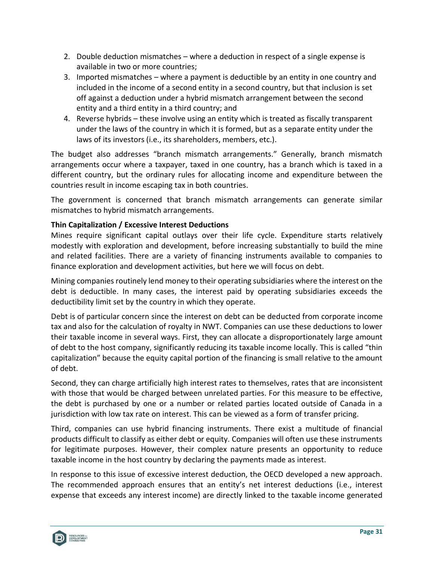- 2. Double deduction mismatches where a deduction in respect of a single expense is available in two or more countries;
- 3. Imported mismatches where a payment is deductible by an entity in one country and included in the income of a second entity in a second country, but that inclusion is set off against a deduction under a hybrid mismatch arrangement between the second entity and a third entity in a third country; and
- 4. Reverse hybrids these involve using an entity which is treated as fiscally transparent under the laws of the country in which it is formed, but as a separate entity under the laws of its investors (i.e., its shareholders, members, etc.).

The budget also addresses "branch mismatch arrangements." Generally, branch mismatch arrangements occur where a taxpayer, taxed in one country, has a branch which is taxed in a different country, but the ordinary rules for allocating income and expenditure between the countries result in income escaping tax in both countries.

The government is concerned that branch mismatch arrangements can generate similar mismatches to hybrid mismatch arrangements.

### **Thin Capitalization / Excessive Interest Deductions**

Mines require significant capital outlays over their life cycle. Expenditure starts relatively modestly with exploration and development, before increasing substantially to build the mine and related facilities. There are a variety of financing instruments available to companies to finance exploration and development activities, but here we will focus on debt.

Mining companies routinely lend money to their operating subsidiaries where the interest on the debt is deductible. In many cases, the interest paid by operating subsidiaries exceeds the deductibility limit set by the country in which they operate.

Debt is of particular concern since the interest on debt can be deducted from corporate income tax and also for the calculation of royalty in NWT. Companies can use these deductions to lower their taxable income in several ways. First, they can allocate a disproportionately large amount of debt to the host company, significantly reducing its taxable income locally. This is called "thin capitalization" because the equity capital portion of the financing is small relative to the amount of debt.

Second, they can charge artificially high interest rates to themselves, rates that are inconsistent with those that would be charged between unrelated parties. For this measure to be effective, the debt is purchased by one or a number or related parties located outside of Canada in a jurisdiction with low tax rate on interest. This can be viewed as a form of transfer pricing.

Third, companies can use hybrid financing instruments. There exist a multitude of financial products difficult to classify as either debt or equity. Companies will often use these instruments for legitimate purposes. However, their complex nature presents an opportunity to reduce taxable income in the host country by declaring the payments made as interest.

In response to this issue of excessive interest deduction, the OECD developed a new approach. The recommended approach ensures that an entity's net interest deductions (i.e., interest expense that exceeds any interest income) are directly linked to the taxable income generated

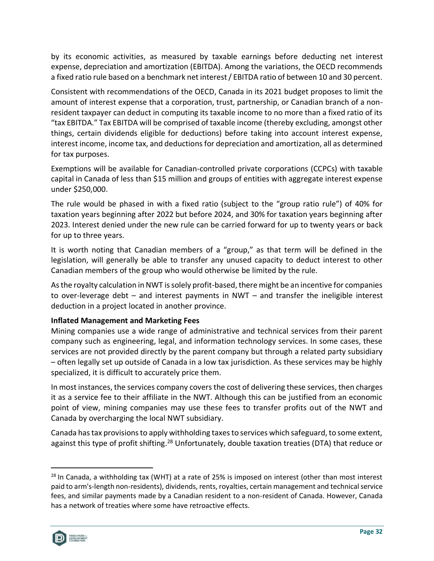by its economic activities, as measured by taxable earnings before deducting net interest expense, depreciation and amortization (EBITDA). Among the variations, the OECD recommends a fixed ratio rule based on a benchmark net interest / EBITDA ratio of between 10 and 30 percent.

Consistent with recommendations of the OECD, Canada in its 2021 budget proposes to limit the amount of interest expense that a corporation, trust, partnership, or Canadian branch of a nonresident taxpayer can deduct in computing its taxable income to no more than a fixed ratio of its "tax EBITDA." Tax EBITDA will be comprised of taxable income (thereby excluding, amongst other things, certain dividends eligible for deductions) before taking into account interest expense, interest income, income tax, and deductions for depreciation and amortization, all as determined for tax purposes.

Exemptions will be available for Canadian-controlled private corporations (CCPCs) with taxable capital in Canada of less than \$15 million and groups of entities with aggregate interest expense under \$250,000.

The rule would be phased in with a fixed ratio (subject to the "group ratio rule") of 40% for taxation years beginning after 2022 but before 2024, and 30% for taxation years beginning after 2023. Interest denied under the new rule can be carried forward for up to twenty years or back for up to three years.

It is worth noting that Canadian members of a "group," as that term will be defined in the legislation, will generally be able to transfer any unused capacity to deduct interest to other Canadian members of the group who would otherwise be limited by the rule.

As the royalty calculation in NWT is solely profit-based, there might be an incentive for companies to over-leverage debt – and interest payments in NWT – and transfer the ineligible interest deduction in a project located in another province.

### **Inflated Management and Marketing Fees**

Mining companies use a wide range of administrative and technical services from their parent company such as engineering, legal, and information technology services. In some cases, these services are not provided directly by the parent company but through a related party subsidiary – often legally set up outside of Canada in a low tax jurisdiction. As these services may be highly specialized, it is difficult to accurately price them.

In most instances, the services company covers the cost of delivering these services, then charges it as a service fee to their affiliate in the NWT. Although this can be justified from an economic point of view, mining companies may use these fees to transfer profits out of the NWT and Canada by overcharging the local NWT subsidiary.

Canada has tax provisions to apply withholding taxes to services which safeguard, to some extent, against this type of profit shifting.<sup>28</sup> Unfortunately, double taxation treaties (DTA) that reduce or

 $28$  In Canada, a withholding tax (WHT) at a rate of 25% is imposed on interest (other than most interest paid to arm's-length non-residents), dividends, rents, royalties, certain management and technical service fees, and similar payments made by a Canadian resident to a non-resident of Canada. However, Canada has a network of treaties where some have retroactive effects.